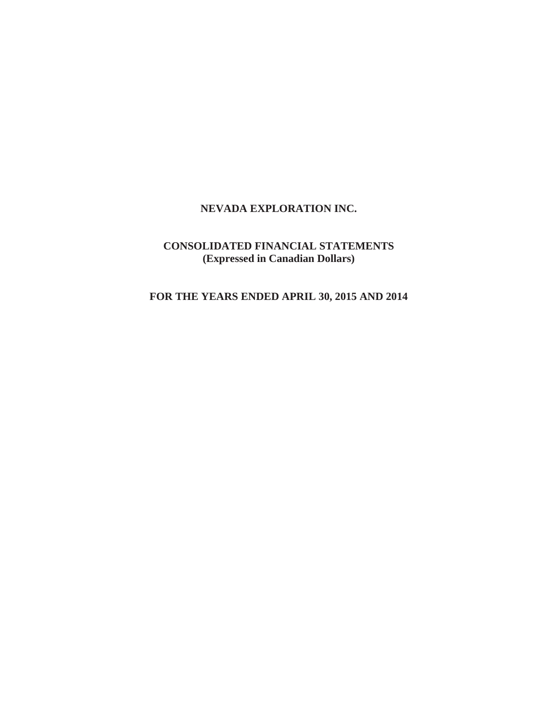# **NEVADA EXPLORATION INC.**

# **CONSOLIDATED FINANCIAL STATEMENTS (Expressed in Canadian Dollars)**

# **FOR THE YEARS ENDED APRIL 30, 2015 AND 2014**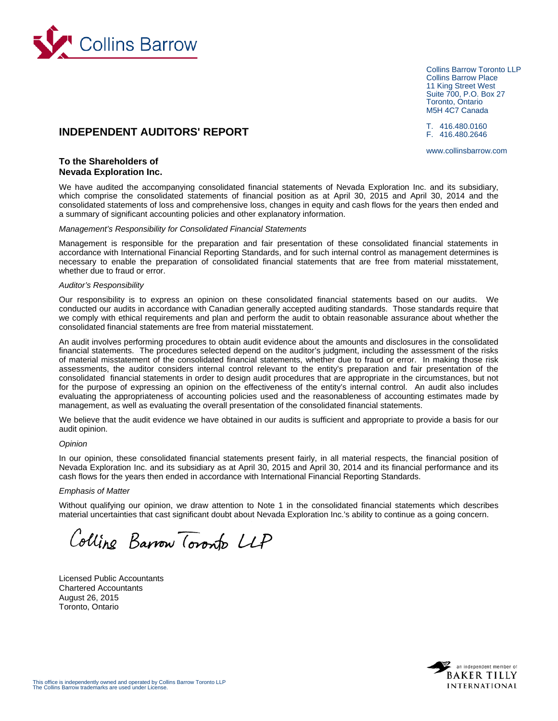

Collins Barrow Toronto LLP Collins Barrow Place 11 King Street West Suite 700, P.O. Box 27 Toronto, Ontario M5H 4C7 Canada

T. 416.480.0160 F. 416.480.2646

www.collinsbarrow.com

# **INDEPENDENT AUDITORS' REPORT**

# **To the Shareholders of Nevada Exploration Inc.**

We have audited the accompanying consolidated financial statements of Nevada Exploration Inc. and its subsidiary, which comprise the consolidated statements of financial position as at April 30, 2015 and April 30, 2014 and the consolidated statements of loss and comprehensive loss, changes in equity and cash flows for the years then ended and a summary of significant accounting policies and other explanatory information.

#### *Management's Responsibility for Consolidated Financial Statements*

Management is responsible for the preparation and fair presentation of these consolidated financial statements in accordance with International Financial Reporting Standards, and for such internal control as management determines is necessary to enable the preparation of consolidated financial statements that are free from material misstatement, whether due to fraud or error.

#### *Auditor's Responsibility*

Our responsibility is to express an opinion on these consolidated financial statements based on our audits. We conducted our audits in accordance with Canadian generally accepted auditing standards. Those standards require that we comply with ethical requirements and plan and perform the audit to obtain reasonable assurance about whether the consolidated financial statements are free from material misstatement.

An audit involves performing procedures to obtain audit evidence about the amounts and disclosures in the consolidated financial statements. The procedures selected depend on the auditor's judgment, including the assessment of the risks of material misstatement of the consolidated financial statements, whether due to fraud or error. In making those risk assessments, the auditor considers internal control relevant to the entity's preparation and fair presentation of the consolidated financial statements in order to design audit procedures that are appropriate in the circumstances, but not for the purpose of expressing an opinion on the effectiveness of the entity's internal control. An audit also includes evaluating the appropriateness of accounting policies used and the reasonableness of accounting estimates made by management, as well as evaluating the overall presentation of the consolidated financial statements.

We believe that the audit evidence we have obtained in our audits is sufficient and appropriate to provide a basis for our audit opinion.

#### *Opinion*

In our opinion, these consolidated financial statements present fairly, in all material respects, the financial position of Nevada Exploration Inc. and its subsidiary as at April 30, 2015 and April 30, 2014 and its financial performance and its cash flows for the years then ended in accordance with International Financial Reporting Standards.

#### *Emphasis of Matter*

Without qualifying our opinion, we draw attention to Note 1 in the consolidated financial statements which describes material uncertainties that cast significant doubt about Nevada Exploration Inc.'s ability to continue as a going concern.

Colline Barrow Toronto LLP

Licensed Public Accountants Chartered Accountants August 26, 2015 Toronto, Ontario

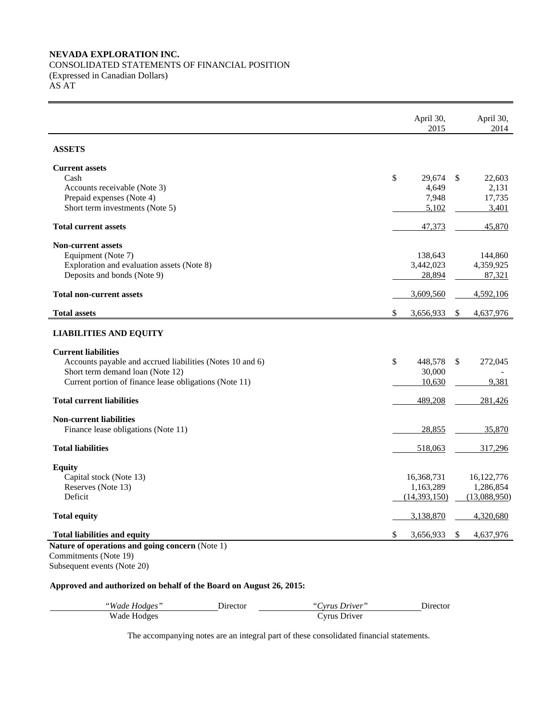# **NEVADA EXPLORATION INC.**

CONSOLIDATED STATEMENTS OF FINANCIAL POSITION (Expressed in Canadian Dollars) AS AT

|                                                                    |          |                | April 30,<br>2015 |               | April 30,<br>2014 |
|--------------------------------------------------------------------|----------|----------------|-------------------|---------------|-------------------|
| <b>ASSETS</b>                                                      |          |                |                   |               |                   |
| <b>Current assets</b>                                              |          |                |                   |               |                   |
| Cash                                                               |          |                | \$<br>29,674      | \$            | 22,603            |
| Accounts receivable (Note 3)                                       |          |                | 4,649             |               | 2,131             |
| Prepaid expenses (Note 4)                                          |          |                | 7,948             |               | 17,735            |
| Short term investments (Note 5)                                    |          |                | 5,102             |               | 3,401             |
| <b>Total current assets</b>                                        |          |                | 47,373            |               | 45,870            |
| <b>Non-current assets</b>                                          |          |                |                   |               |                   |
| Equipment (Note 7)                                                 |          |                | 138,643           |               | 144,860           |
| Exploration and evaluation assets (Note 8)                         |          |                | 3,442,023         |               | 4,359,925         |
| Deposits and bonds (Note 9)                                        |          |                | 28,894            |               | 87,321            |
| <b>Total non-current assets</b>                                    |          |                | 3,609,560         |               | 4,592,106         |
| <b>Total assets</b>                                                |          |                | \$<br>3,656,933   | $\mathcal{S}$ | 4,637,976         |
| <b>LIABILITIES AND EQUITY</b>                                      |          |                |                   |               |                   |
| <b>Current liabilities</b>                                         |          |                |                   |               |                   |
| Accounts payable and accrued liabilities (Notes 10 and 6)          |          |                | \$<br>448,578     | \$            | 272,045           |
| Short term demand loan (Note 12)                                   |          |                | 30,000            |               |                   |
| Current portion of finance lease obligations (Note 11)             |          |                | 10,630            |               | 9,381             |
| <b>Total current liabilities</b>                                   |          |                | 489,208           |               | 281,426           |
| <b>Non-current liabilities</b>                                     |          |                |                   |               |                   |
| Finance lease obligations (Note 11)                                |          |                | 28,855            |               | 35,870            |
| <b>Total liabilities</b>                                           |          |                | 518,063           |               | 317,296           |
| <b>Equity</b>                                                      |          |                |                   |               |                   |
| Capital stock (Note 13)                                            |          |                | 16,368,731        |               | 16,122,776        |
| Reserves (Note 13)                                                 |          |                | 1,163,289         |               | 1,286,854         |
| Deficit                                                            |          |                | (14, 393, 150)    |               | (13,088,950)      |
| <b>Total equity</b>                                                |          |                | 3,138,870         |               | 4,320,680         |
| <b>Total liabilities and equity</b>                                |          |                | \$<br>3,656,933   | \$            | 4,637,976         |
| Nature of operations and going concern (Note 1)                    |          |                |                   |               |                   |
| Commitments (Note 19)                                              |          |                |                   |               |                   |
| Subsequent events (Note 20)                                        |          |                |                   |               |                   |
| Approved and authorized on behalf of the Board on August 26, 2015: |          |                |                   |               |                   |
| "Wade Hodges"                                                      | Director | "Cyrus Driver" | Director          |               |                   |
| Wade Hodges                                                        |          | Cyrus Driver   |                   |               |                   |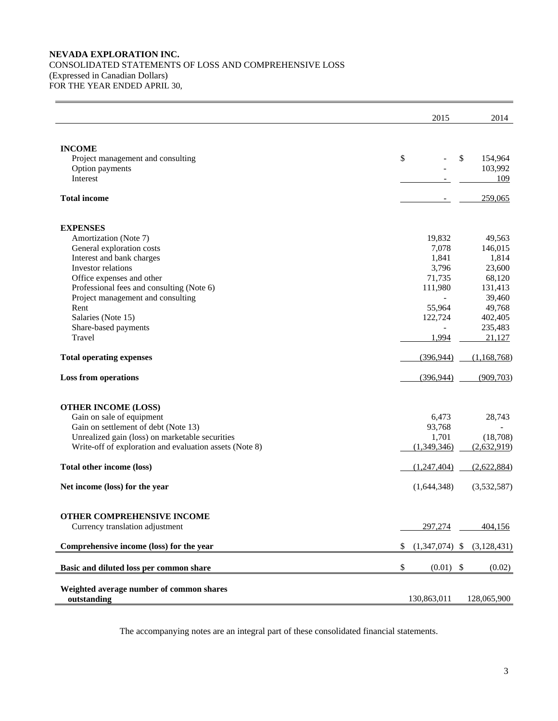# **NEVADA EXPLORATION INC.**  CONSOLIDATED STATEMENTS OF LOSS AND COMPREHENSIVE LOSS (Expressed in Canadian Dollars) FOR THE YEAR ENDED APRIL 30,

|                                                         | 2015                   | 2014          |
|---------------------------------------------------------|------------------------|---------------|
|                                                         |                        |               |
| <b>INCOME</b>                                           |                        |               |
| Project management and consulting                       | \$                     | \$<br>154,964 |
| Option payments                                         |                        | 103,992       |
| Interest                                                |                        | 109           |
| <b>Total income</b>                                     |                        | 259,065       |
| <b>EXPENSES</b>                                         |                        |               |
| Amortization (Note 7)                                   | 19,832                 | 49,563        |
| General exploration costs                               | 7,078                  | 146,015       |
| Interest and bank charges                               | 1,841                  | 1,814         |
| Investor relations                                      | 3,796                  | 23,600        |
| Office expenses and other                               | 71,735                 | 68,120        |
| Professional fees and consulting (Note 6)               | 111,980                | 131,413       |
| Project management and consulting                       |                        | 39,460        |
| Rent                                                    | 55,964                 | 49,768        |
| Salaries (Note 15)                                      | 122,724                | 402,405       |
| Share-based payments                                    |                        | 235,483       |
| Travel                                                  | 1,994                  | 21,127        |
| <b>Total operating expenses</b>                         | (396, 944)             | (1,168,768)   |
| <b>Loss from operations</b>                             | (396, 944)             | (909, 703)    |
| <b>OTHER INCOME (LOSS)</b>                              |                        |               |
| Gain on sale of equipment                               | 6,473                  | 28,743        |
| Gain on settlement of debt (Note 13)                    | 93,768                 |               |
| Unrealized gain (loss) on marketable securities         | 1,701                  | (18,708)      |
| Write-off of exploration and evaluation assets (Note 8) | (1,349,346)            | (2,632,919)   |
| Total other income (loss)                               | (1,247,404)            | (2,622,884)   |
|                                                         |                        |               |
| Net income (loss) for the year                          | (1,644,348)            | (3,532,587)   |
| <b>OTHER COMPREHENSIVE INCOME</b>                       |                        |               |
| Currency translation adjustment                         | 297,274                | 404,156       |
| Comprehensive income (loss) for the year                | \$<br>$(1,347,074)$ \$ | (3,128,431)   |
| Basic and diluted loss per common share                 | \$<br>$(0.01)$ \$      | (0.02)        |
| Weighted average number of common shares                |                        |               |
| outstanding                                             | 130,863,011            | 128,065,900   |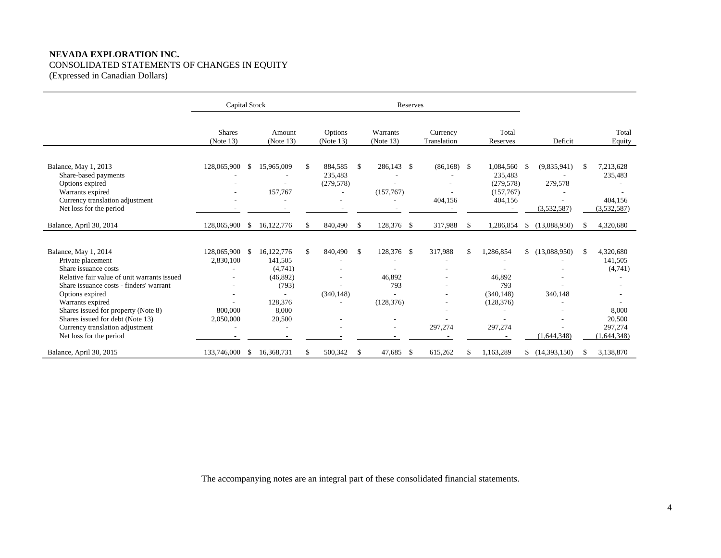# **NEVADA EXPLORATION INC.**  CONSOLIDATED STATEMENTS OF CHANGES IN EQUITY (Expressed in Canadian Dollars)

|                                                                                                                                                                                                                                                                                                                                             | Capital Stock                                    |                                                                                           |     |                                                           |      |                                                | Reserves |                         |      |                                                                   |    |                                        |    |                                                                              |
|---------------------------------------------------------------------------------------------------------------------------------------------------------------------------------------------------------------------------------------------------------------------------------------------------------------------------------------------|--------------------------------------------------|-------------------------------------------------------------------------------------------|-----|-----------------------------------------------------------|------|------------------------------------------------|----------|-------------------------|------|-------------------------------------------------------------------|----|----------------------------------------|----|------------------------------------------------------------------------------|
|                                                                                                                                                                                                                                                                                                                                             | <b>Shares</b><br>(Note 13)                       | Amount<br>(Note 13)                                                                       |     | Options<br>(Note 13)                                      |      | Warrants<br>(Note 13)                          |          | Currency<br>Translation |      | Total<br>Reserves                                                 |    | Deficit                                |    | Total<br>Equity                                                              |
| Balance, May 1, 2013<br>Share-based payments<br>Options expired<br>Warrants expired<br>Currency translation adjustment<br>Net loss for the period                                                                                                                                                                                           | 128,065,900                                      | 15,965,009<br>-\$<br>157,767                                                              | \$  | 884,585<br>235,483<br>(279, 578)                          | - \$ | 286,143<br>(157,767)                           | -\$      | (86, 168)<br>404,156    | - \$ | 1,084,560 \$<br>235.483<br>(279, 578)<br>(157,767)<br>404,156     |    | (9,835,941)<br>279,578<br>(3,532,587)  | S  | 7,213,628<br>235,483<br>404,156<br>(3,532,587)                               |
| Balance, April 30, 2014                                                                                                                                                                                                                                                                                                                     | 128,065,900                                      | 16,122,776<br>-\$                                                                         | \$. | 840,490                                                   | S.   | 128,376 \$                                     |          | 317,988                 | S.   | 1,286,854                                                         | \$ | (13,088,950)                           | S  | 4,320,680                                                                    |
| Balance, May 1, 2014<br>Private placement<br>Share issuance costs<br>Relative fair value of unit warrants issued<br>Share issuance costs - finders' warrant<br>Options expired<br>Warrants expired<br>Shares issued for property (Note 8)<br>Shares issued for debt (Note 13)<br>Currency translation adjustment<br>Net loss for the period | 128,065,900<br>2,830,100<br>800,000<br>2,050,000 | 16,122,776<br>.S<br>141,505<br>(4,741)<br>(46,892)<br>(793)<br>128,376<br>8.000<br>20,500 | \$  | 840,490<br>$\overline{a}$<br>(340, 148)<br>$\overline{a}$ | -S   | 128,376 \$<br>46.892<br>793<br>(128, 376)<br>٠ |          | 317,988<br>۰<br>297,274 | \$   | 1,286,854<br>46,892<br>793<br>(340, 148)<br>(128, 376)<br>297,274 | S. | (13,088,950)<br>340,148<br>(1,644,348) | S. | 4,320,680<br>141,505<br>(4,741)<br>8,000<br>20,500<br>297,274<br>(1,644,348) |
| Balance, April 30, 2015                                                                                                                                                                                                                                                                                                                     | 133,746,000                                      | 16,368,731<br>S.                                                                          | \$  | 500,342                                                   | S.   | 47,685                                         | \$       | 615,262                 | \$.  | 1,163,289                                                         |    | (14,393,150)                           | £. | 3,138,870                                                                    |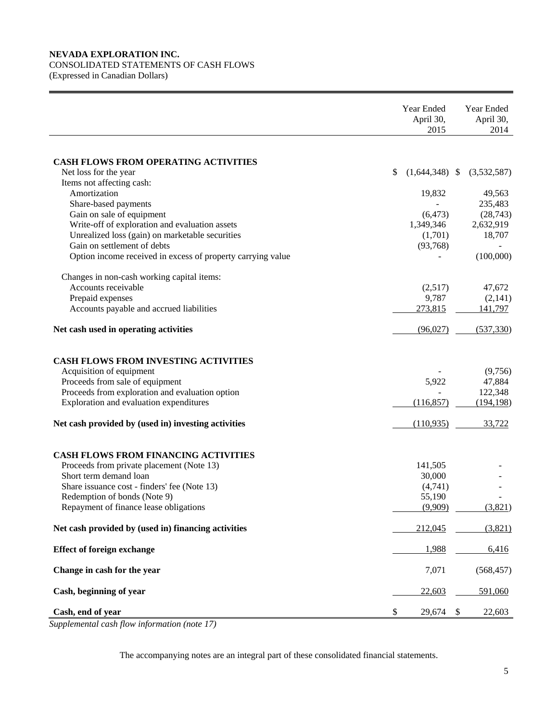# **NEVADA EXPLORATION INC.**

# CONSOLIDATED STATEMENTS OF CASH FLOWS (Expressed in Canadian Dollars)

|                                                             | Year Ended<br>April 30,<br>2015 | Year Ended<br>April 30,<br>2014 |
|-------------------------------------------------------------|---------------------------------|---------------------------------|
|                                                             |                                 |                                 |
| <b>CASH FLOWS FROM OPERATING ACTIVITIES</b>                 |                                 |                                 |
| Net loss for the year                                       | $(1,644,348)$ \$<br>\$          | (3,532,587)                     |
| Items not affecting cash:                                   |                                 |                                 |
| Amortization                                                | 19,832                          | 49,563                          |
| Share-based payments                                        |                                 | 235,483                         |
| Gain on sale of equipment                                   | (6, 473)                        | (28, 743)                       |
| Write-off of exploration and evaluation assets              | 1,349,346                       | 2,632,919                       |
| Unrealized loss (gain) on marketable securities             | (1,701)                         | 18,707                          |
| Gain on settlement of debts                                 | (93,768)                        |                                 |
| Option income received in excess of property carrying value |                                 | (100,000)                       |
| Changes in non-cash working capital items:                  |                                 |                                 |
| Accounts receivable                                         | (2,517)                         | 47,672                          |
| Prepaid expenses                                            | 9,787                           | (2,141)                         |
| Accounts payable and accrued liabilities                    | 273,815                         | 141,797                         |
| Net cash used in operating activities                       | (96,027)                        | (537, 330)                      |
| <b>CASH FLOWS FROM INVESTING ACTIVITIES</b>                 |                                 |                                 |
| Acquisition of equipment                                    |                                 | (9,756)                         |
| Proceeds from sale of equipment                             | 5,922                           | 47,884                          |
| Proceeds from exploration and evaluation option             |                                 | 122,348                         |
| Exploration and evaluation expenditures                     | (116, 857)                      | (194, 198)                      |
| Net cash provided by (used in) investing activities         | (110,935)                       | 33,722                          |
| <b>CASH FLOWS FROM FINANCING ACTIVITIES</b>                 |                                 |                                 |
| Proceeds from private placement (Note 13)                   | 141,505                         |                                 |
| Short term demand loan                                      | 30,000                          |                                 |
| Share issuance cost - finders' fee (Note 13)                | (4,741)                         |                                 |
| Redemption of bonds (Note 9)                                | 55,190                          |                                 |
| Repayment of finance lease obligations                      | (9,909)                         | (3,821)                         |
| Net cash provided by (used in) financing activities         | 212,045                         | (3,821)                         |
| <b>Effect of foreign exchange</b>                           | 1,988                           | 6,416                           |
| Change in cash for the year                                 | 7,071                           | (568, 457)                      |
| Cash, beginning of year                                     | 22,603                          | 591,060                         |
| Cash, end of year                                           | \$<br>29,674                    | \$<br>22,603                    |

*Supplemental cash flow information (note 17)*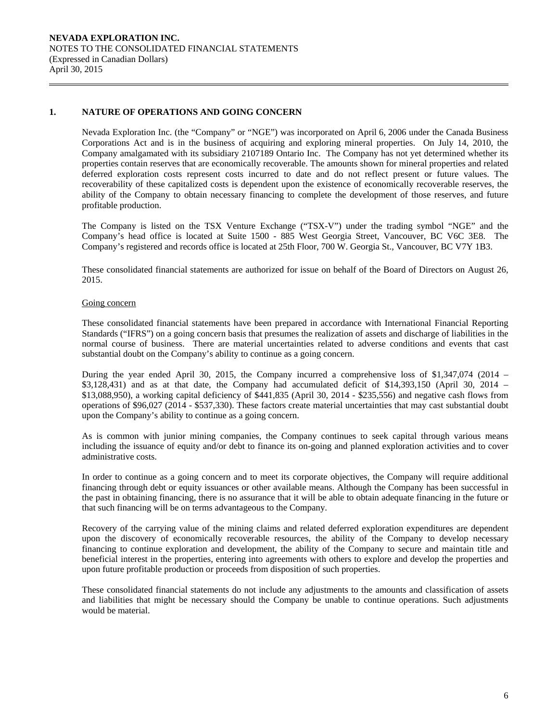### **1. NATURE OF OPERATIONS AND GOING CONCERN**

Nevada Exploration Inc. (the "Company" or "NGE") was incorporated on April 6, 2006 under the Canada Business Corporations Act and is in the business of acquiring and exploring mineral properties. On July 14, 2010, the Company amalgamated with its subsidiary 2107189 Ontario Inc. The Company has not yet determined whether its properties contain reserves that are economically recoverable. The amounts shown for mineral properties and related deferred exploration costs represent costs incurred to date and do not reflect present or future values. The recoverability of these capitalized costs is dependent upon the existence of economically recoverable reserves, the ability of the Company to obtain necessary financing to complete the development of those reserves, and future profitable production.

The Company is listed on the TSX Venture Exchange ("TSX-V") under the trading symbol "NGE" and the Company's head office is located at Suite 1500 - 885 West Georgia Street, Vancouver, BC V6C 3E8. The Company's registered and records office is located at 25th Floor, 700 W. Georgia St., Vancouver, BC V7Y 1B3.

 These consolidated financial statements are authorized for issue on behalf of the Board of Directors on August 26, 2015.

#### Going concern

These consolidated financial statements have been prepared in accordance with International Financial Reporting Standards ("IFRS") on a going concern basis that presumes the realization of assets and discharge of liabilities in the normal course of business. There are material uncertainties related to adverse conditions and events that cast substantial doubt on the Company's ability to continue as a going concern.

During the year ended April 30, 2015, the Company incurred a comprehensive loss of \$1,347,074 (2014 –  $$3,128,431)$  and as at that date, the Company had accumulated deficit of  $$14,393,150$  (April 30, 2014 – \$13,088,950), a working capital deficiency of \$441,835 (April 30, 2014 - \$235,556) and negative cash flows from operations of \$96,027 (2014 - \$537,330). These factors create material uncertainties that may cast substantial doubt upon the Company's ability to continue as a going concern.

As is common with junior mining companies, the Company continues to seek capital through various means including the issuance of equity and/or debt to finance its on-going and planned exploration activities and to cover administrative costs.

In order to continue as a going concern and to meet its corporate objectives, the Company will require additional financing through debt or equity issuances or other available means. Although the Company has been successful in the past in obtaining financing, there is no assurance that it will be able to obtain adequate financing in the future or that such financing will be on terms advantageous to the Company.

Recovery of the carrying value of the mining claims and related deferred exploration expenditures are dependent upon the discovery of economically recoverable resources, the ability of the Company to develop necessary financing to continue exploration and development, the ability of the Company to secure and maintain title and beneficial interest in the properties, entering into agreements with others to explore and develop the properties and upon future profitable production or proceeds from disposition of such properties.

These consolidated financial statements do not include any adjustments to the amounts and classification of assets and liabilities that might be necessary should the Company be unable to continue operations. Such adjustments would be material.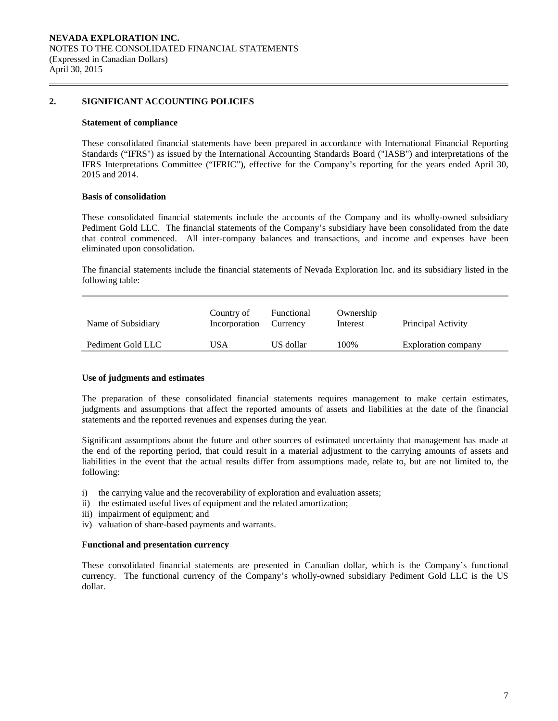### **2. SIGNIFICANT ACCOUNTING POLICIES**

#### **Statement of compliance**

 These consolidated financial statements have been prepared in accordance with International Financial Reporting Standards ("IFRS") as issued by the International Accounting Standards Board ("IASB") and interpretations of the IFRS Interpretations Committee ("IFRIC"), effective for the Company's reporting for the years ended April 30, 2015 and 2014.

#### **Basis of consolidation**

 These consolidated financial statements include the accounts of the Company and its wholly-owned subsidiary Pediment Gold LLC. The financial statements of the Company's subsidiary have been consolidated from the date that control commenced. All inter-company balances and transactions, and income and expenses have been eliminated upon consolidation.

The financial statements include the financial statements of Nevada Exploration Inc. and its subsidiary listed in the following table:

| Name of Subsidiary | Country of<br>Incorporation | Functional<br>Currency | Ownership<br>Interest | Principal Activity  |
|--------------------|-----------------------------|------------------------|-----------------------|---------------------|
| Pediment Gold LLC  | JSA                         | US dollar              | 100%                  | Exploration company |

#### **Use of judgments and estimates**

The preparation of these consolidated financial statements requires management to make certain estimates, judgments and assumptions that affect the reported amounts of assets and liabilities at the date of the financial statements and the reported revenues and expenses during the year.

 Significant assumptions about the future and other sources of estimated uncertainty that management has made at the end of the reporting period, that could result in a material adjustment to the carrying amounts of assets and liabilities in the event that the actual results differ from assumptions made, relate to, but are not limited to, the following:

- i) the carrying value and the recoverability of exploration and evaluation assets;
- ii) the estimated useful lives of equipment and the related amortization;
- iii) impairment of equipment; and
- iv) valuation of share-based payments and warrants.

#### **Functional and presentation currency**

These consolidated financial statements are presented in Canadian dollar, which is the Company's functional currency. The functional currency of the Company's wholly-owned subsidiary Pediment Gold LLC is the US dollar.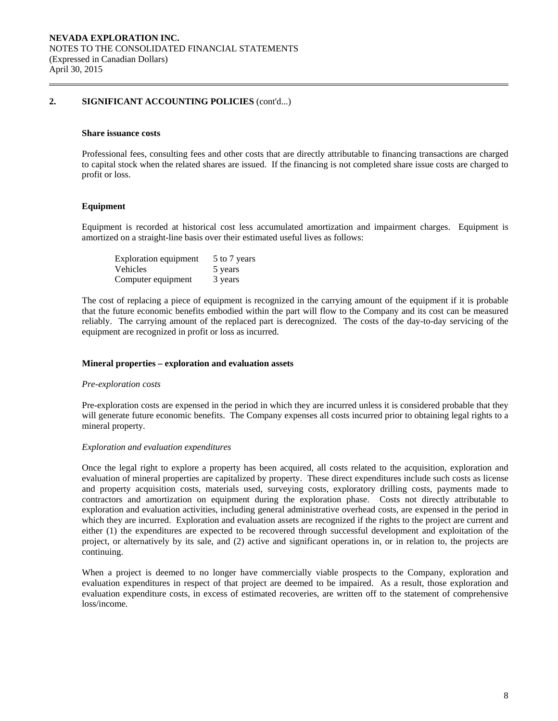#### **Share issuance costs**

 Professional fees, consulting fees and other costs that are directly attributable to financing transactions are charged to capital stock when the related shares are issued. If the financing is not completed share issue costs are charged to profit or loss.

#### **Equipment**

Equipment is recorded at historical cost less accumulated amortization and impairment charges. Equipment is amortized on a straight-line basis over their estimated useful lives as follows:

| <b>Exploration equipment</b> | 5 to 7 years |
|------------------------------|--------------|
| <b>Vehicles</b>              | 5 years      |
| Computer equipment           | 3 years      |

The cost of replacing a piece of equipment is recognized in the carrying amount of the equipment if it is probable that the future economic benefits embodied within the part will flow to the Company and its cost can be measured reliably. The carrying amount of the replaced part is derecognized. The costs of the day-to-day servicing of the equipment are recognized in profit or loss as incurred.

#### **Mineral properties – exploration and evaluation assets**

#### *Pre-exploration costs*

 Pre-exploration costs are expensed in the period in which they are incurred unless it is considered probable that they will generate future economic benefits. The Company expenses all costs incurred prior to obtaining legal rights to a mineral property.

#### *Exploration and evaluation expenditures*

 Once the legal right to explore a property has been acquired, all costs related to the acquisition, exploration and evaluation of mineral properties are capitalized by property. These direct expenditures include such costs as license and property acquisition costs, materials used, surveying costs, exploratory drilling costs, payments made to contractors and amortization on equipment during the exploration phase. Costs not directly attributable to exploration and evaluation activities, including general administrative overhead costs, are expensed in the period in which they are incurred. Exploration and evaluation assets are recognized if the rights to the project are current and either (1) the expenditures are expected to be recovered through successful development and exploitation of the project, or alternatively by its sale, and (2) active and significant operations in, or in relation to, the projects are continuing.

 When a project is deemed to no longer have commercially viable prospects to the Company, exploration and evaluation expenditures in respect of that project are deemed to be impaired. As a result, those exploration and evaluation expenditure costs, in excess of estimated recoveries, are written off to the statement of comprehensive loss/income.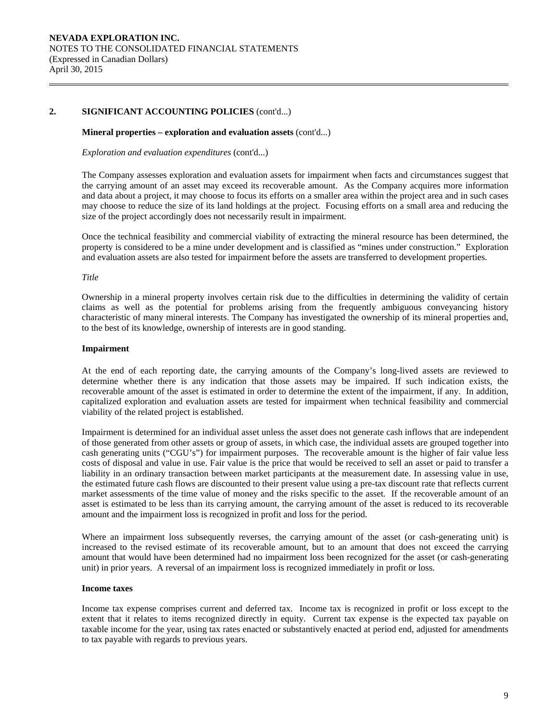#### **Mineral properties – exploration and evaluation assets** (cont'd...)

#### *Exploration and evaluation expenditures* (cont'd...)

 The Company assesses exploration and evaluation assets for impairment when facts and circumstances suggest that the carrying amount of an asset may exceed its recoverable amount. As the Company acquires more information and data about a project, it may choose to focus its efforts on a smaller area within the project area and in such cases may choose to reduce the size of its land holdings at the project. Focusing efforts on a small area and reducing the size of the project accordingly does not necessarily result in impairment.

 Once the technical feasibility and commercial viability of extracting the mineral resource has been determined, the property is considered to be a mine under development and is classified as "mines under construction." Exploration and evaluation assets are also tested for impairment before the assets are transferred to development properties.

#### *Title*

Ownership in a mineral property involves certain risk due to the difficulties in determining the validity of certain claims as well as the potential for problems arising from the frequently ambiguous conveyancing history characteristic of many mineral interests. The Company has investigated the ownership of its mineral properties and, to the best of its knowledge, ownership of interests are in good standing.

#### **Impairment**

At the end of each reporting date, the carrying amounts of the Company's long-lived assets are reviewed to determine whether there is any indication that those assets may be impaired. If such indication exists, the recoverable amount of the asset is estimated in order to determine the extent of the impairment, if any. In addition, capitalized exploration and evaluation assets are tested for impairment when technical feasibility and commercial viability of the related project is established.

Impairment is determined for an individual asset unless the asset does not generate cash inflows that are independent of those generated from other assets or group of assets, in which case, the individual assets are grouped together into cash generating units ("CGU's") for impairment purposes. The recoverable amount is the higher of fair value less costs of disposal and value in use. Fair value is the price that would be received to sell an asset or paid to transfer a liability in an ordinary transaction between market participants at the measurement date. In assessing value in use, the estimated future cash flows are discounted to their present value using a pre-tax discount rate that reflects current market assessments of the time value of money and the risks specific to the asset. If the recoverable amount of an asset is estimated to be less than its carrying amount, the carrying amount of the asset is reduced to its recoverable amount and the impairment loss is recognized in profit and loss for the period.

Where an impairment loss subsequently reverses, the carrying amount of the asset (or cash-generating unit) is increased to the revised estimate of its recoverable amount, but to an amount that does not exceed the carrying amount that would have been determined had no impairment loss been recognized for the asset (or cash-generating unit) in prior years. A reversal of an impairment loss is recognized immediately in profit or loss.

#### **Income taxes**

Income tax expense comprises current and deferred tax. Income tax is recognized in profit or loss except to the extent that it relates to items recognized directly in equity. Current tax expense is the expected tax payable on taxable income for the year, using tax rates enacted or substantively enacted at period end, adjusted for amendments to tax payable with regards to previous years.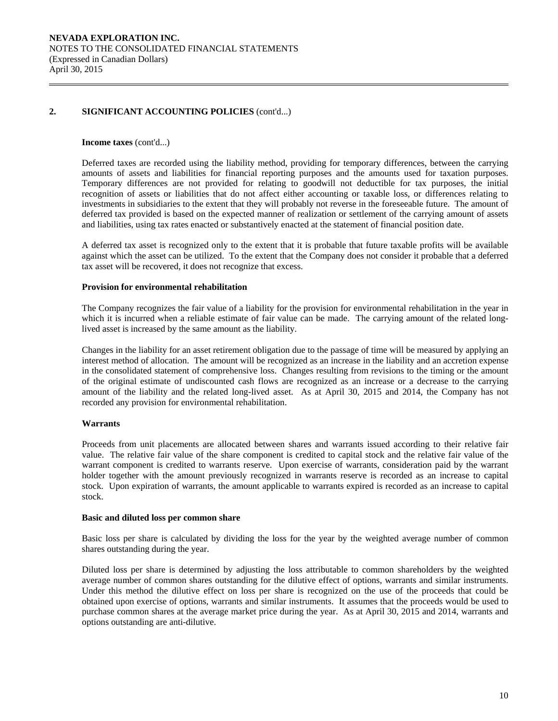#### **Income taxes** (cont'd...)

Deferred taxes are recorded using the liability method, providing for temporary differences, between the carrying amounts of assets and liabilities for financial reporting purposes and the amounts used for taxation purposes. Temporary differences are not provided for relating to goodwill not deductible for tax purposes, the initial recognition of assets or liabilities that do not affect either accounting or taxable loss, or differences relating to investments in subsidiaries to the extent that they will probably not reverse in the foreseeable future. The amount of deferred tax provided is based on the expected manner of realization or settlement of the carrying amount of assets and liabilities, using tax rates enacted or substantively enacted at the statement of financial position date.

A deferred tax asset is recognized only to the extent that it is probable that future taxable profits will be available against which the asset can be utilized. To the extent that the Company does not consider it probable that a deferred tax asset will be recovered, it does not recognize that excess.

#### **Provision for environmental rehabilitation**

The Company recognizes the fair value of a liability for the provision for environmental rehabilitation in the year in which it is incurred when a reliable estimate of fair value can be made. The carrying amount of the related longlived asset is increased by the same amount as the liability.

Changes in the liability for an asset retirement obligation due to the passage of time will be measured by applying an interest method of allocation. The amount will be recognized as an increase in the liability and an accretion expense in the consolidated statement of comprehensive loss. Changes resulting from revisions to the timing or the amount of the original estimate of undiscounted cash flows are recognized as an increase or a decrease to the carrying amount of the liability and the related long-lived asset. As at April 30, 2015 and 2014, the Company has not recorded any provision for environmental rehabilitation.

#### **Warrants**

Proceeds from unit placements are allocated between shares and warrants issued according to their relative fair value. The relative fair value of the share component is credited to capital stock and the relative fair value of the warrant component is credited to warrants reserve. Upon exercise of warrants, consideration paid by the warrant holder together with the amount previously recognized in warrants reserve is recorded as an increase to capital stock. Upon expiration of warrants, the amount applicable to warrants expired is recorded as an increase to capital stock.

#### **Basic and diluted loss per common share**

Basic loss per share is calculated by dividing the loss for the year by the weighted average number of common shares outstanding during the year.

 Diluted loss per share is determined by adjusting the loss attributable to common shareholders by the weighted average number of common shares outstanding for the dilutive effect of options, warrants and similar instruments. Under this method the dilutive effect on loss per share is recognized on the use of the proceeds that could be obtained upon exercise of options, warrants and similar instruments. It assumes that the proceeds would be used to purchase common shares at the average market price during the year. As at April 30, 2015 and 2014, warrants and options outstanding are anti-dilutive.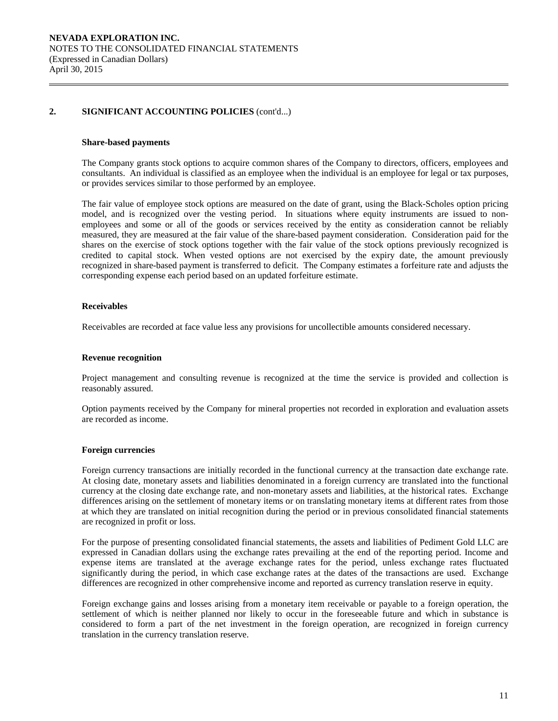#### **Share-based payments**

The Company grants stock options to acquire common shares of the Company to directors, officers, employees and consultants. An individual is classified as an employee when the individual is an employee for legal or tax purposes, or provides services similar to those performed by an employee.

The fair value of employee stock options are measured on the date of grant, using the Black-Scholes option pricing model, and is recognized over the vesting period. In situations where equity instruments are issued to nonemployees and some or all of the goods or services received by the entity as consideration cannot be reliably measured, they are measured at the fair value of the share-based payment consideration. Consideration paid for the shares on the exercise of stock options together with the fair value of the stock options previously recognized is credited to capital stock. When vested options are not exercised by the expiry date, the amount previously recognized in share-based payment is transferred to deficit. The Company estimates a forfeiture rate and adjusts the corresponding expense each period based on an updated forfeiture estimate.

#### **Receivables**

Receivables are recorded at face value less any provisions for uncollectible amounts considered necessary.

#### **Revenue recognition**

Project management and consulting revenue is recognized at the time the service is provided and collection is reasonably assured.

 Option payments received by the Company for mineral properties not recorded in exploration and evaluation assets are recorded as income.

#### **Foreign currencies**

 Foreign currency transactions are initially recorded in the functional currency at the transaction date exchange rate. At closing date, monetary assets and liabilities denominated in a foreign currency are translated into the functional currency at the closing date exchange rate, and non-monetary assets and liabilities, at the historical rates. Exchange differences arising on the settlement of monetary items or on translating monetary items at different rates from those at which they are translated on initial recognition during the period or in previous consolidated financial statements are recognized in profit or loss.

For the purpose of presenting consolidated financial statements, the assets and liabilities of Pediment Gold LLC are expressed in Canadian dollars using the exchange rates prevailing at the end of the reporting period. Income and expense items are translated at the average exchange rates for the period, unless exchange rates fluctuated significantly during the period, in which case exchange rates at the dates of the transactions are used. Exchange differences are recognized in other comprehensive income and reported as currency translation reserve in equity.

 Foreign exchange gains and losses arising from a monetary item receivable or payable to a foreign operation, the settlement of which is neither planned nor likely to occur in the foreseeable future and which in substance is considered to form a part of the net investment in the foreign operation, are recognized in foreign currency translation in the currency translation reserve.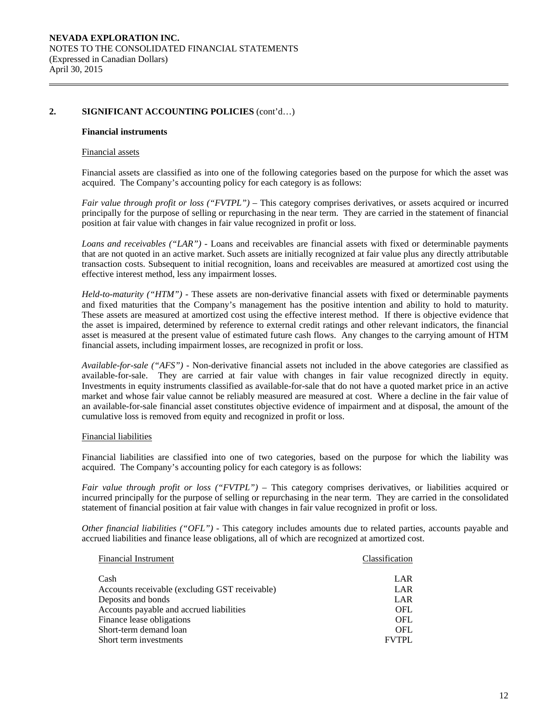#### **Financial instruments**

#### Financial assets

Financial assets are classified as into one of the following categories based on the purpose for which the asset was acquired. The Company's accounting policy for each category is as follows:

*Fair value through profit or loss ("FVTPL")* – This category comprises derivatives, or assets acquired or incurred principally for the purpose of selling or repurchasing in the near term. They are carried in the statement of financial position at fair value with changes in fair value recognized in profit or loss.

*Loans and receivables ("LAR") -* Loans and receivables are financial assets with fixed or determinable payments that are not quoted in an active market. Such assets are initially recognized at fair value plus any directly attributable transaction costs. Subsequent to initial recognition, loans and receivables are measured at amortized cost using the effective interest method, less any impairment losses.

*Held-to-maturity ("HTM") -* These assets are non-derivative financial assets with fixed or determinable payments and fixed maturities that the Company's management has the positive intention and ability to hold to maturity. These assets are measured at amortized cost using the effective interest method. If there is objective evidence that the asset is impaired, determined by reference to external credit ratings and other relevant indicators, the financial asset is measured at the present value of estimated future cash flows. Any changes to the carrying amount of HTM financial assets, including impairment losses, are recognized in profit or loss.

*Available-for-sale ("AFS") -* Non-derivative financial assets not included in the above categories are classified as available-for-sale. They are carried at fair value with changes in fair value recognized directly in equity. Investments in equity instruments classified as available-for-sale that do not have a quoted market price in an active market and whose fair value cannot be reliably measured are measured at cost. Where a decline in the fair value of an available-for-sale financial asset constitutes objective evidence of impairment and at disposal, the amount of the cumulative loss is removed from equity and recognized in profit or loss.

#### Financial liabilities

 Financial liabilities are classified into one of two categories, based on the purpose for which the liability was acquired. The Company's accounting policy for each category is as follows:

*Fair value through profit or loss ("FVTPL")* – This category comprises derivatives, or liabilities acquired or incurred principally for the purpose of selling or repurchasing in the near term. They are carried in the consolidated statement of financial position at fair value with changes in fair value recognized in profit or loss.

*Other financial liabilities ("OFL") -* This category includes amounts due to related parties, accounts payable and accrued liabilities and finance lease obligations, all of which are recognized at amortized cost.

| <b>Financial Instrument</b>                    | Classification |
|------------------------------------------------|----------------|
| Cash                                           | LAR            |
| Accounts receivable (excluding GST receivable) | LAR            |
| Deposits and bonds                             | LAR            |
| Accounts payable and accrued liabilities       | <b>OFL</b>     |
| Finance lease obligations                      | OFL            |
| Short-term demand loan                         | <b>OFL</b>     |
| Short term investments                         | <b>FVTPL</b>   |
|                                                |                |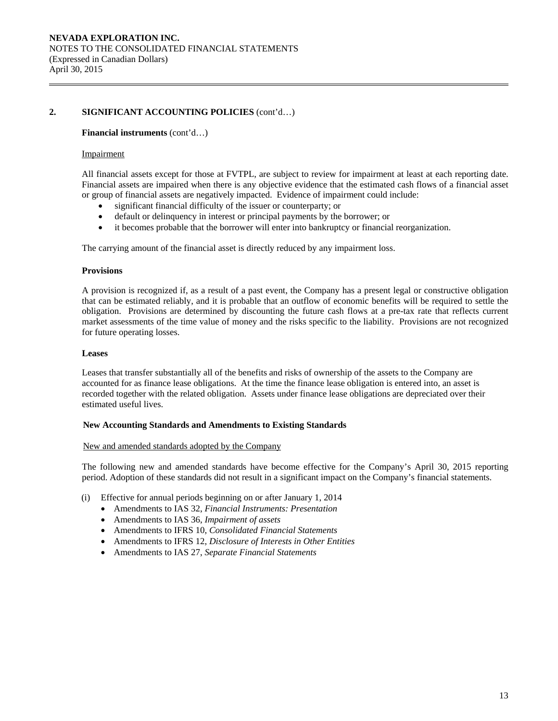### **Financial instruments** (cont'd…)

#### Impairment

All financial assets except for those at FVTPL, are subject to review for impairment at least at each reporting date. Financial assets are impaired when there is any objective evidence that the estimated cash flows of a financial asset or group of financial assets are negatively impacted. Evidence of impairment could include:

- significant financial difficulty of the issuer or counterparty; or
- default or delinquency in interest or principal payments by the borrower; or
- it becomes probable that the borrower will enter into bankruptcy or financial reorganization.

The carrying amount of the financial asset is directly reduced by any impairment loss.

#### **Provisions**

A provision is recognized if, as a result of a past event, the Company has a present legal or constructive obligation that can be estimated reliably, and it is probable that an outflow of economic benefits will be required to settle the obligation. Provisions are determined by discounting the future cash flows at a pre-tax rate that reflects current market assessments of the time value of money and the risks specific to the liability. Provisions are not recognized for future operating losses.

### **Leases**

Leases that transfer substantially all of the benefits and risks of ownership of the assets to the Company are accounted for as finance lease obligations. At the time the finance lease obligation is entered into, an asset is recorded together with the related obligation. Assets under finance lease obligations are depreciated over their estimated useful lives.

#### **New Accounting Standards and Amendments to Existing Standards**

#### New and amended standards adopted by the Company

The following new and amended standards have become effective for the Company's April 30, 2015 reporting period. Adoption of these standards did not result in a significant impact on the Company's financial statements.

- (i) Effective for annual periods beginning on or after January 1, 2014
	- Amendments to IAS 32, *Financial Instruments: Presentation*
	- Amendments to IAS 36, *Impairment of assets*
	- Amendments to IFRS 10, *Consolidated Financial Statements*
	- Amendments to IFRS 12, *Disclosure of Interests in Other Entities*
	- Amendments to IAS 27, *Separate Financial Statements*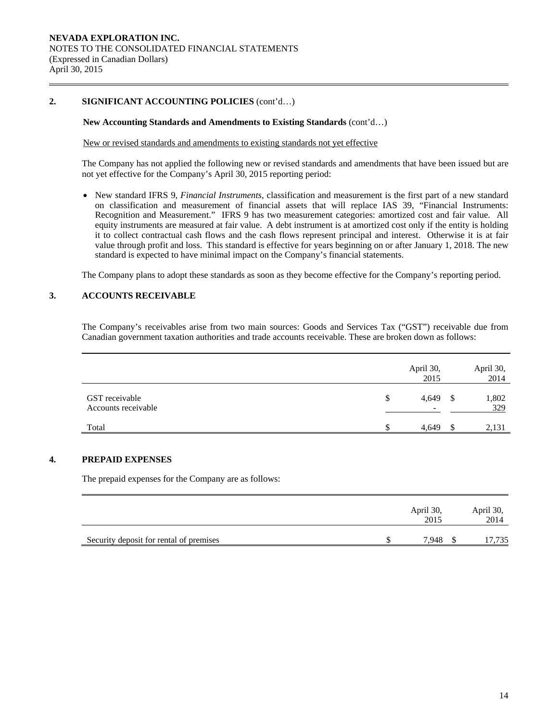### **New Accounting Standards and Amendments to Existing Standards** (cont'd…)

#### New or revised standards and amendments to existing standards not yet effective

 The Company has not applied the following new or revised standards and amendments that have been issued but are not yet effective for the Company's April 30, 2015 reporting period:

 New standard IFRS 9, *Financial Instruments*, classification and measurement is the first part of a new standard on classification and measurement of financial assets that will replace IAS 39, "Financial Instruments: Recognition and Measurement." IFRS 9 has two measurement categories: amortized cost and fair value. All equity instruments are measured at fair value. A debt instrument is at amortized cost only if the entity is holding it to collect contractual cash flows and the cash flows represent principal and interest. Otherwise it is at fair value through profit and loss. This standard is effective for years beginning on or after January 1, 2018. The new standard is expected to have minimal impact on the Company's financial statements.

The Company plans to adopt these standards as soon as they become effective for the Company's reporting period.

# **3. ACCOUNTS RECEIVABLE**

The Company's receivables arise from two main sources: Goods and Services Tax ("GST") receivable due from Canadian government taxation authorities and trade accounts receivable. These are broken down as follows:

|                                       | April 30,<br>2015                       |    | April 30,<br>2014 |
|---------------------------------------|-----------------------------------------|----|-------------------|
| GST receivable<br>Accounts receivable | \$<br>4,649<br>$\overline{\phantom{0}}$ | -S | 1,802<br>329      |
| Total                                 | 4.649                                   |    | 2,131             |

#### **4. PREPAID EXPENSES**

The prepaid expenses for the Company are as follows:

|                                         | April 30,<br>2015 | April 30,<br>2014 |
|-----------------------------------------|-------------------|-------------------|
| Security deposit for rental of premises | 7.948             | 17,735            |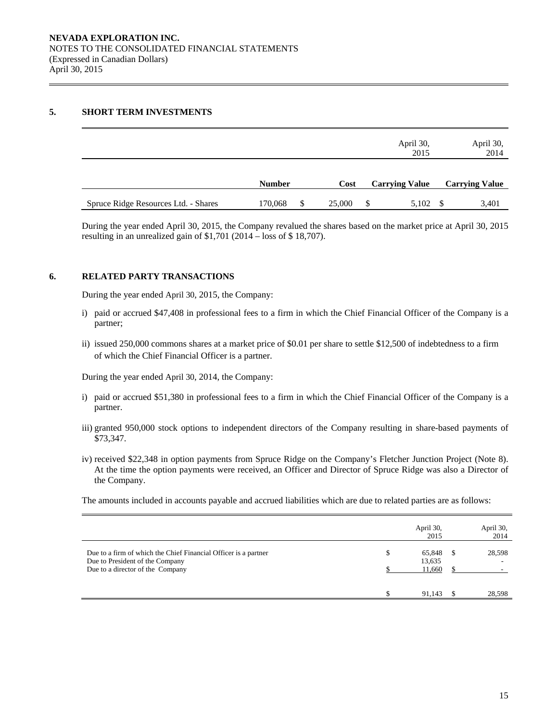# **5. SHORT TERM INVESTMENTS**

|                                      |               |        | April 30,<br>2015     | April 30,<br>2014     |
|--------------------------------------|---------------|--------|-----------------------|-----------------------|
|                                      | <b>Number</b> | Cost   | <b>Carrying Value</b> | <b>Carrying Value</b> |
| Spruce Ridge Resources Ltd. - Shares | 170,068       | 25,000 | \$<br>5,102           | 3,401                 |

During the year ended April 30, 2015, the Company revalued the shares based on the market price at April 30, 2015 resulting in an unrealized gain of \$1,701 (2014 – loss of \$ 18,707).

# **6. RELATED PARTY TRANSACTIONS**

During the year ended April 30, 2015, the Company:

- i) paid or accrued \$47,408 in professional fees to a firm in which the Chief Financial Officer of the Company is a partner;
- ii) issued 250,000 commons shares at a market price of \$0.01 per share to settle \$12,500 of indebtedness to a firm of which the Chief Financial Officer is a partner.

During the year ended April 30, 2014, the Company:

- i) paid or accrued \$51,380 in professional fees to a firm in which the Chief Financial Officer of the Company is a partner.
- iii) granted 950,000 stock options to independent directors of the Company resulting in share-based payments of \$73,347.
- iv) received \$22,348 in option payments from Spruce Ridge on the Company's Fletcher Junction Project (Note 8). At the time the option payments were received, an Officer and Director of Spruce Ridge was also a Director of the Company.

The amounts included in accounts payable and accrued liabilities which are due to related parties are as follows:

|                                                                                                                                        |   | April 30,<br>2015          | April 30,<br>2014 |
|----------------------------------------------------------------------------------------------------------------------------------------|---|----------------------------|-------------------|
| Due to a firm of which the Chief Financial Officer is a partner<br>Due to President of the Company<br>Due to a director of the Company | S | 65,848<br>13,635<br>11,660 | 28,598            |
|                                                                                                                                        |   | 91.143                     | 28,598            |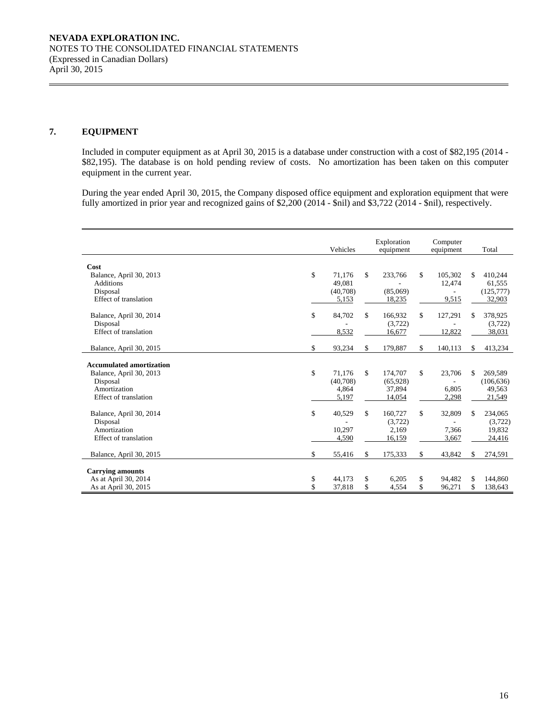# **7. EQUIPMENT**

Included in computer equipment as at April 30, 2015 is a database under construction with a cost of \$82,195 (2014 - \$82,195). The database is on hold pending review of costs. No amortization has been taken on this computer equipment in the current year.

During the year ended April 30, 2015, the Company disposed office equipment and exploration equipment that were fully amortized in prior year and recognized gains of \$2,200 (2014 - \$nil) and \$3,722 (2014 - \$nil), respectively.

|                                 | Vehicles     | Exploration<br>equipment | Computer<br>equipment    |    | Total      |
|---------------------------------|--------------|--------------------------|--------------------------|----|------------|
| Cost                            |              |                          |                          |    |            |
| Balance, April 30, 2013         | \$<br>71.176 | \$<br>233,766            | \$<br>105.302            | \$ | 410,244    |
| <b>Additions</b>                | 49,081       |                          | 12,474                   |    | 61,555     |
| Disposal                        | (40,708)     | (85,069)                 | $\overline{\phantom{a}}$ |    | (125, 777) |
| Effect of translation           | 5,153        | 18,235                   | 9,515                    |    | 32,903     |
| Balance, April 30, 2014         | \$<br>84,702 | \$<br>166,932            | \$<br>127,291            | \$ | 378,925    |
| Disposal                        |              | (3,722)                  |                          |    | (3,722)    |
| <b>Effect</b> of translation    | 8,532        | 16,677                   | 12,822                   |    | 38,031     |
| Balance, April 30, 2015         | \$<br>93,234 | \$<br>179,887            | \$<br>140,113            | \$ | 413,234    |
| <b>Accumulated amortization</b> |              |                          |                          |    |            |
| Balance, April 30, 2013         | \$<br>71.176 | \$<br>174,707            | \$<br>23,706             | \$ | 269,589    |
| Disposal                        | (40,708)     | (65, 928)                |                          |    | (106, 636) |
| Amortization                    | 4,864        | 37,894                   | 6,805                    |    | 49,563     |
| Effect of translation           | 5,197        | 14,054                   | 2,298                    |    | 21,549     |
| Balance, April 30, 2014         | \$<br>40,529 | \$<br>160,727            | \$<br>32,809             | \$ | 234,065    |
| Disposal                        |              | (3,722)                  |                          |    | (3,722)    |
| Amortization                    | 10,297       | 2,169                    | 7,366                    |    | 19,832     |
| Effect of translation           | 4,590        | 16,159                   | 3,667                    |    | 24,416     |
| Balance, April 30, 2015         | \$<br>55,416 | \$<br>175,333            | \$<br>43,842             | S. | 274,591    |
| <b>Carrying amounts</b>         |              |                          |                          |    |            |
| As at April 30, 2014            | \$<br>44.173 | \$<br>6.205              | \$<br>94.482             | \$ | 144,860    |
| As at April 30, 2015            | \$<br>37,818 | \$<br>4.554              | \$<br>96,271             | \$ | 138,643    |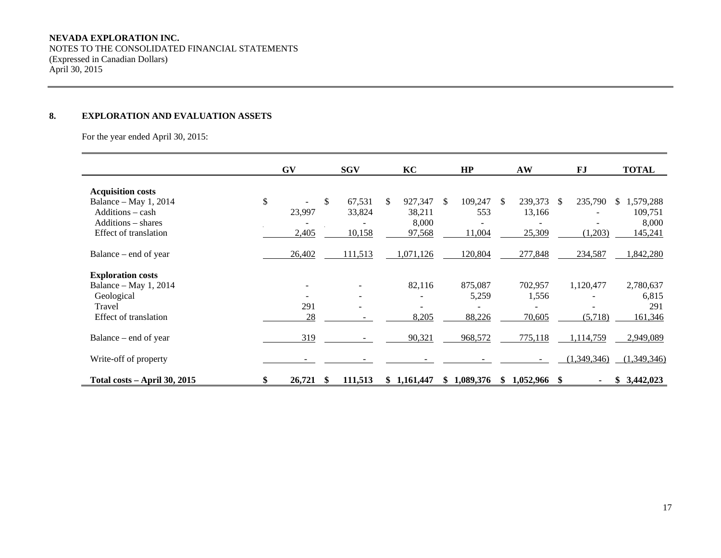NOTES TO THE CONSOLIDATED FINANCIAL STATEMENTS (Expressed in Canadian Dollars) April 30, 2015

# **8. EXPLORATION AND EVALUATION ASSETS**

For the year ended April 30, 2015:

|                              | <b>GV</b> | <b>SGV</b>   | KC              |              | HP        |               | AW        |    | <b>FJ</b>      |     | <b>TOTAL</b> |
|------------------------------|-----------|--------------|-----------------|--------------|-----------|---------------|-----------|----|----------------|-----|--------------|
| <b>Acquisition costs</b>     |           |              |                 |              |           |               |           |    |                |     |              |
| Balance – May 1, 2014        | \$        | \$<br>67,531 | \$<br>927,347   | <sup>S</sup> | 109,247   | <sup>\$</sup> | 239,373   | -S | 235,790        | \$. | 1,579,288    |
| Additions - cash             | 23,997    | 33,824       | 38,211          |              | 553       |               | 13,166    |    |                |     | 109,751      |
| Additions – shares           |           |              | 8,000           |              |           |               |           |    |                |     | 8,000        |
| Effect of translation        | 2,405     | 10,158       | 97,568          |              | 11,004    |               | 25,309    |    | (1,203)        |     | 145,241      |
| Balance – end of year        | 26,402    | 111,513      | 1,071,126       |              | 120,804   |               | 277,848   |    | 234,587        |     | 1,842,280    |
| <b>Exploration costs</b>     |           |              |                 |              |           |               |           |    |                |     |              |
| Balance – May 1, 2014        |           |              | 82,116          |              | 875,087   |               | 702,957   |    | 1,120,477      |     | 2,780,637    |
| Geological                   |           |              |                 |              | 5,259     |               | 1,556     |    |                |     | 6,815        |
| Travel                       | 291       |              |                 |              |           |               |           |    |                |     | 291          |
| Effect of translation        | 28        |              | 8,205           |              | 88,226    |               | 70,605    |    | (5,718)        |     | 161,346      |
| Balance – end of year        | 319       |              | 90,321          |              | 968,572   |               | 775,118   |    | 1,114,759      |     | 2,949,089    |
| Write-off of property        |           |              |                 |              |           |               |           |    | (1,349,346)    |     | (1,349,346)  |
| Total costs – April 30, 2015 | 26,721    | 111,513      | \$<br>1,161,447 | SS.          | 1,089,376 | \$            | 1,052,966 | -S | $\blacksquare$ | \$  | 3,442,023    |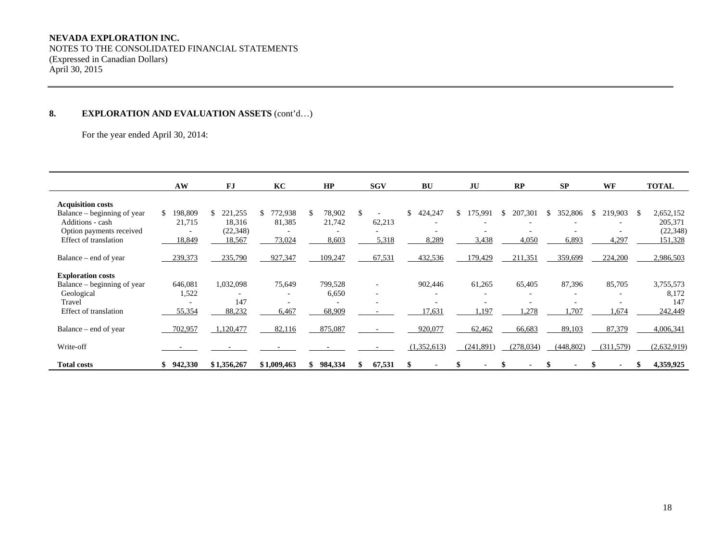#### **NEVADA EXPLORATION INC.**

NOTES TO THE CONSOLIDATED FINANCIAL STATEMENTS (Expressed in Canadian Dollars) April 30, 2015

# 8. **EXPLORATION AND EVALUATION ASSETS** (cont'd...)

For the year ended April 30, 2014:

|                             | AW      | FJ            | KC                       | HP      | <b>SGV</b>               | <b>BU</b>     | JU            | RP           | SP         | WF               | <b>TOTAL</b> |
|-----------------------------|---------|---------------|--------------------------|---------|--------------------------|---------------|---------------|--------------|------------|------------------|--------------|
| <b>Acquisition costs</b>    |         |               |                          |         |                          |               |               |              |            |                  |              |
| Balance – beginning of year | 198,809 | 221,255<br>S. | 772,938                  | 78,902  |                          | \$<br>424,247 | 175,991<br>S. | 207,301<br>Ж | 352,806    | 219,903 \$<br>Ъ, | 2,652,152    |
| Additions - cash            | 21,715  | 18,316        | 81,385                   | 21,742  | 62,213                   |               |               |              |            |                  | 205,371      |
| Option payments received    |         | (22, 348)     | $\overline{\phantom{a}}$ |         |                          |               |               |              |            |                  | (22, 348)    |
| Effect of translation       | 18,849  | 18,567        | 73,024                   | 8,603   | 5,318                    | 8,289         | 3,438         | 4,050        | 6,893      | 4,297            | 151,328      |
| Balance – end of year       | 239,373 | 235,790       | 927,347                  | 109,247 | 67,531                   | 432,536       | 179,429       | 211,351      | 359,699    | 224,200          | 2,986,503    |
| <b>Exploration costs</b>    |         |               |                          |         |                          |               |               |              |            |                  |              |
| Balance – beginning of year | 646,081 | 1,032,098     | 75,649                   | 799,528 | $\overline{\phantom{a}}$ | 902,446       | 61,265        | 65,405       | 87,396     | 85,705           | 3,755,573    |
| Geological                  | 1,522   |               | $\overline{\phantom{a}}$ | 6,650   | ٠                        |               |               |              |            |                  | 8,172        |
| Travel                      |         | 147           | $\overline{\phantom{0}}$ |         | $\overline{\phantom{0}}$ |               |               |              |            |                  | 147          |
| Effect of translation       | 55,354  | 88,232        | 6,467                    | 68,909  |                          | 17,631        | 1,197         | ,278         | 1,707      | 1,674            | 242,449      |
| Balance – end of year       | 702,957 | 1,120,477     | 82,116                   | 875,087 |                          | 920,077       | 62,462        | 66,683       | 89,103     | 87,379           | 4,006,341    |
| Write-off                   |         |               |                          |         |                          | (1,352,613)   | (241,891)     | (278, 034)   | (448, 802) | (311,579)        | (2,632,919)  |
| <b>Total costs</b>          | 942,330 | \$1,356,267   | \$1,009,463              | 984,334 | 67,531                   |               |               |              |            |                  | 4,359,925    |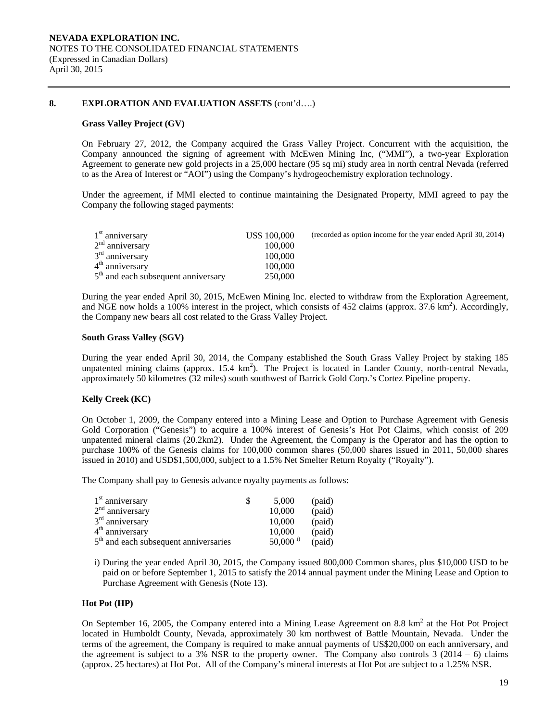#### **8. EXPLORATION AND EVALUATION ASSETS** (cont'd….)

#### **Grass Valley Project (GV)**

On February 27, 2012, the Company acquired the Grass Valley Project. Concurrent with the acquisition, the Company announced the signing of agreement with McEwen Mining Inc, ("MMI"), a two-year Exploration Agreement to generate new gold projects in a 25,000 hectare (95 sq mi) study area in north central Nevada (referred to as the Area of Interest or "AOI") using the Company's hydrogeochemistry exploration technology.

Under the agreement, if MMI elected to continue maintaining the Designated Property, MMI agreed to pay the Company the following staged payments:

| $1st$ anniversary                     | US\$ 100,000 | (recorded as option income for the year ended April 30, 2014) |
|---------------------------------------|--------------|---------------------------------------------------------------|
| $2nd$ anniversary                     | 100.000      |                                                               |
| $3rd$ anniversary                     | 100,000      |                                                               |
| $4th$ anniversary                     | 100.000      |                                                               |
| $5th$ and each subsequent anniversary | 250,000      |                                                               |

During the year ended April 30, 2015, McEwen Mining Inc. elected to withdraw from the Exploration Agreement, and NGE now holds a 100% interest in the project, which consists of 452 claims (approx.  $37.6 \text{ km}^2$ ). Accordingly, the Company new bears all cost related to the Grass Valley Project.

### **South Grass Valley (SGV)**

During the year ended April 30, 2014, the Company established the South Grass Valley Project by staking 185 unpatented mining claims (approx. 15.4 km<sup>2</sup>). The Project is located in Lander County, north-central Nevada, approximately 50 kilometres (32 miles) south southwest of Barrick Gold Corp.'s Cortez Pipeline property.

#### **Kelly Creek (KC)**

On October 1, 2009, the Company entered into a Mining Lease and Option to Purchase Agreement with Genesis Gold Corporation ("Genesis") to acquire a 100% interest of Genesis's Hot Pot Claims, which consist of 209 unpatented mineral claims (20.2km2). Under the Agreement, the Company is the Operator and has the option to purchase 100% of the Genesis claims for 100,000 common shares (50,000 shares issued in 2011, 50,000 shares issued in 2010) and USD\$1,500,000, subject to a 1.5% Net Smelter Return Royalty ("Royalty").

The Company shall pay to Genesis advance royalty payments as follows:

| $1st$ anniversary                                 | S | 5.000        | (paid) |
|---------------------------------------------------|---|--------------|--------|
| $2nd$ anniversary                                 |   | 10.000       | (paid) |
| $3rd$ anniversary                                 |   | 10.000       | (paid) |
| $4th$ anniversary                                 |   | 10.000       | (paid) |
| 5 <sup>th</sup> and each subsequent anniversaries |   | $50,000^{i}$ | (paid) |

i) During the year ended April 30, 2015, the Company issued 800,000 Common shares, plus \$10,000 USD to be paid on or before September 1, 2015 to satisfy the 2014 annual payment under the Mining Lease and Option to Purchase Agreement with Genesis (Note 13).

#### **Hot Pot (HP)**

On September 16, 2005, the Company entered into a Mining Lease Agreement on 8.8  $km^2$  at the Hot Project located in Humboldt County, Nevada, approximately 30 km northwest of Battle Mountain, Nevada. Under the terms of the agreement, the Company is required to make annual payments of US\$20,000 on each anniversary, and the agreement is subject to a  $3\%$  NSR to the property owner. The Company also controls  $3(2014 - 6)$  claims (approx. 25 hectares) at Hot Pot. All of the Company's mineral interests at Hot Pot are subject to a 1.25% NSR.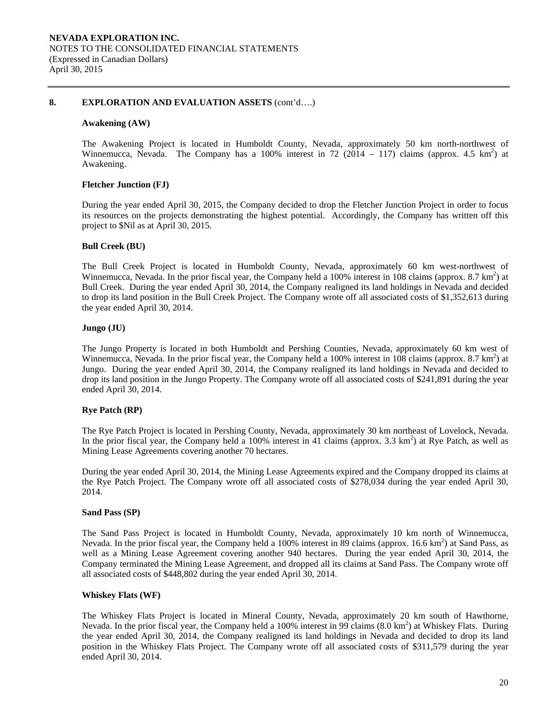### **8. EXPLORATION AND EVALUATION ASSETS** (cont'd….)

#### **Awakening (AW)**

The Awakening Project is located in Humboldt County, Nevada, approximately 50 km north-northwest of Winnemucca, Nevada. The Company has a 100% interest in  $72(2014 - 117)$  claims (approx. 4.5 km<sup>2</sup>) at Awakening.

#### **Fletcher Junction (FJ)**

During the year ended April 30, 2015, the Company decided to drop the Fletcher Junction Project in order to focus its resources on the projects demonstrating the highest potential. Accordingly, the Company has written off this project to \$Nil as at April 30, 2015.

#### **Bull Creek (BU)**

The Bull Creek Project is located in Humboldt County, Nevada, approximately 60 km west-northwest of Winnemucca, Nevada. In the prior fiscal year, the Company held a 100% interest in 108 claims (approx.  $8.7 \text{ km}^2$ ) at Bull Creek. During the year ended April 30, 2014, the Company realigned its land holdings in Nevada and decided to drop its land position in the Bull Creek Project. The Company wrote off all associated costs of \$1,352,613 during the year ended April 30, 2014.

#### **Jungo (JU)**

The Jungo Property is located in both Humboldt and Pershing Counties, Nevada, approximately 60 km west of Winnemucca, Nevada. In the prior fiscal year, the Company held a 100% interest in  $108$  claims (approx. 8.7 km<sup>2</sup>) at Jungo. During the year ended April 30, 2014, the Company realigned its land holdings in Nevada and decided to drop its land position in the Jungo Property. The Company wrote off all associated costs of \$241,891 during the year ended April 30, 2014.

# **Rye Patch (RP)**

The Rye Patch Project is located in Pershing County, Nevada, approximately 30 km northeast of Lovelock, Nevada. In the prior fiscal year, the Company held a 100% interest in 41 claims (approx. 3.3  $km^2$ ) at Rye Patch, as well as Mining Lease Agreements covering another 70 hectares.

During the year ended April 30, 2014, the Mining Lease Agreements expired and the Company dropped its claims at the Rye Patch Project. The Company wrote off all associated costs of \$278,034 during the year ended April 30, 2014.

#### **Sand Pass (SP)**

The Sand Pass Project is located in Humboldt County, Nevada, approximately 10 km north of Winnemucca, Nevada. In the prior fiscal year, the Company held a 100% interest in 89 claims (approx. 16.6 km<sup>2</sup>) at Sand Pass, as well as a Mining Lease Agreement covering another 940 hectares. During the year ended April 30, 2014, the Company terminated the Mining Lease Agreement, and dropped all its claims at Sand Pass. The Company wrote off all associated costs of \$448,802 during the year ended April 30, 2014.

### **Whiskey Flats (WF)**

The Whiskey Flats Project is located in Mineral County, Nevada, approximately 20 km south of Hawthorne, Nevada. In the prior fiscal year, the Company held a 100% interest in 99 claims (8.0 km<sup>2</sup>) at Whiskey Flats. During the year ended April 30, 2014, the Company realigned its land holdings in Nevada and decided to drop its land position in the Whiskey Flats Project. The Company wrote off all associated costs of \$311,579 during the year ended April 30, 2014.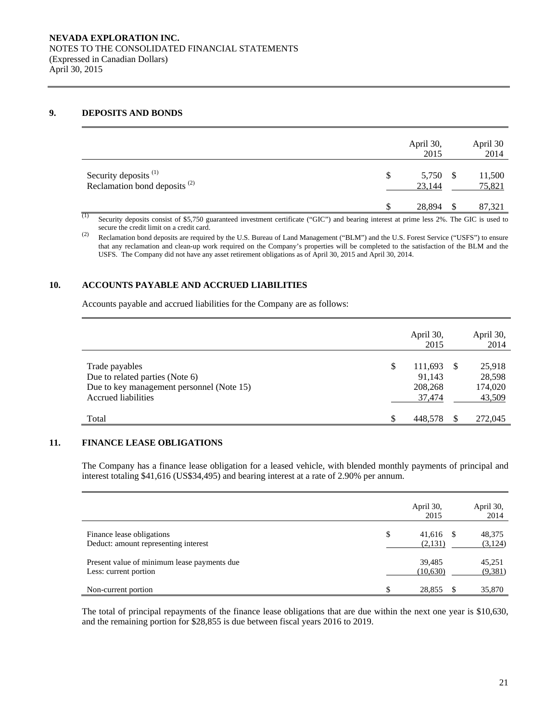### **9. DEPOSITS AND BONDS**

|                                                                              |   | April 30,<br>2015  | April 30<br>2014 |
|------------------------------------------------------------------------------|---|--------------------|------------------|
| Security deposits <sup>(1)</sup><br>Reclamation bond deposits <sup>(2)</sup> | S | 5,750 \$<br>23,144 | 11,500<br>75,821 |
|                                                                              | S | 28,894             | 87,321           |

<sup>(1)</sup> Security deposits consist of \$5,750 guaranteed investment certificate ("GIC") and bearing interest at prime less 2%. The GIC is used to secure the credit limit on a credit card.

(2) Reclamation bond deposits are required by the U.S. Bureau of Land Management ("BLM") and the U.S. Forest Service ("USFS") to ensure that any reclamation and clean-up work required on the Company's properties will be completed to the satisfaction of the BLM and the USFS. The Company did not have any asset retirement obligations as of April 30, 2015 and April 30, 2014.

# **10. ACCOUNTS PAYABLE AND ACCRUED LIABILITIES**

Accounts payable and accrued liabilities for the Company are as follows:

|                                                                                                                       |     | April 30,<br>2015                      |    | April 30,<br>2014                     |
|-----------------------------------------------------------------------------------------------------------------------|-----|----------------------------------------|----|---------------------------------------|
| Trade payables<br>Due to related parties (Note 6)<br>Due to key management personnel (Note 15)<br>Accrued liabilities | \$  | 111,693<br>91.143<br>208,268<br>37,474 | -S | 25,918<br>28,598<br>174,020<br>43,509 |
| Total                                                                                                                 | \$. | 448.578                                | -S | 272,045                               |

# **11. FINANCE LEASE OBLIGATIONS**

The Company has a finance lease obligation for a leased vehicle, with blended monthly payments of principal and interest totaling \$41,616 (US\$34,495) and bearing interest at a rate of 2.90% per annum.

|                                                                      | April 30,<br>2015            | April 30,<br>2014 |
|----------------------------------------------------------------------|------------------------------|-------------------|
| Finance lease obligations<br>Deduct: amount representing interest    | \$<br>$41,616$ \$<br>(2,131) | 48,375<br>(3,124) |
| Present value of minimum lease payments due<br>Less: current portion | 39.485<br>(10,630)           | 45,251<br>(9,381) |
| Non-current portion                                                  | \$<br>28,855                 | 35,870            |

The total of principal repayments of the finance lease obligations that are due within the next one year is \$10,630, and the remaining portion for \$28,855 is due between fiscal years 2016 to 2019.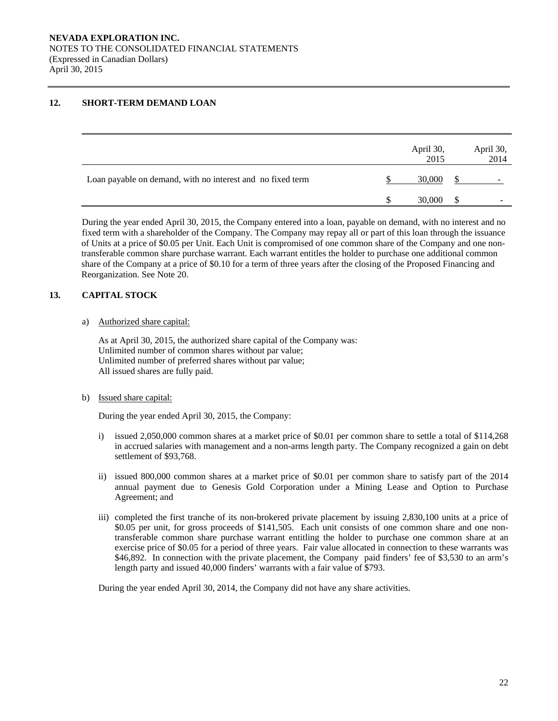# **12. SHORT-TERM DEMAND LOAN**

|                                                            | April 30,<br>2015 | April 30,<br>2014        |
|------------------------------------------------------------|-------------------|--------------------------|
| Loan payable on demand, with no interest and no fixed term | 30,000            | $\overline{\phantom{a}}$ |
|                                                            | 30,000            |                          |

 During the year ended April 30, 2015, the Company entered into a loan, payable on demand, with no interest and no fixed term with a shareholder of the Company. The Company may repay all or part of this loan through the issuance of Units at a price of \$0.05 per Unit. Each Unit is compromised of one common share of the Company and one nontransferable common share purchase warrant. Each warrant entitles the holder to purchase one additional common share of the Company at a price of \$0.10 for a term of three years after the closing of the Proposed Financing and Reorganization. See Note 20.

# **13. CAPITAL STOCK**

a) Authorized share capital:

As at April 30, 2015, the authorized share capital of the Company was: Unlimited number of common shares without par value; Unlimited number of preferred shares without par value; All issued shares are fully paid.

b) Issued share capital:

During the year ended April 30, 2015, the Company:

- i) issued 2,050,000 common shares at a market price of \$0.01 per common share to settle a total of \$114,268 in accrued salaries with management and a non-arms length party. The Company recognized a gain on debt settlement of \$93,768.
- ii) issued 800,000 common shares at a market price of \$0.01 per common share to satisfy part of the 2014 annual payment due to Genesis Gold Corporation under a Mining Lease and Option to Purchase Agreement; and
- iii) completed the first tranche of its non-brokered private placement by issuing 2,830,100 units at a price of \$0.05 per unit, for gross proceeds of \$141,505. Each unit consists of one common share and one nontransferable common share purchase warrant entitling the holder to purchase one common share at an exercise price of \$0.05 for a period of three years. Fair value allocated in connection to these warrants was \$46,892. In connection with the private placement, the Company paid finders' fee of \$3,530 to an arm's length party and issued 40,000 finders' warrants with a fair value of \$793.

During the year ended April 30, 2014, the Company did not have any share activities.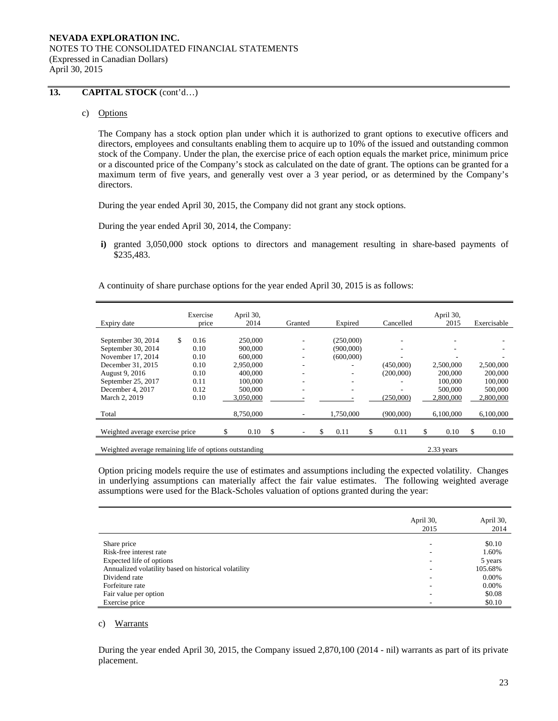# **13. CAPITAL STOCK** (cont'd…)

### c) Options

The Company has a stock option plan under which it is authorized to grant options to executive officers and directors, employees and consultants enabling them to acquire up to 10% of the issued and outstanding common stock of the Company. Under the plan, the exercise price of each option equals the market price, minimum price or a discounted price of the Company's stock as calculated on the date of grant. The options can be granted for a maximum term of five years, and generally vest over a 3 year period, or as determined by the Company's directors.

During the year ended April 30, 2015, the Company did not grant any stock options.

During the year ended April 30, 2014, the Company:

**i)** granted 3,050,000 stock options to directors and management resulting in share-based payments of \$235,483.

A continuity of share purchase options for the year ended April 30, 2015 is as follows:

| Expiry date                                            |     | Exercise<br>price |   | April 30,<br>2014 |   | Granted | Expired    | Cancelled  | April 30,<br>2015 | Exercisable |
|--------------------------------------------------------|-----|-------------------|---|-------------------|---|---------|------------|------------|-------------------|-------------|
|                                                        |     |                   |   |                   |   |         |            |            |                   |             |
| September 30, 2014                                     | \$. | 0.16              |   | 250,000           |   |         | (250,000)  |            |                   |             |
| September 30, 2014                                     |     | 0.10              |   | 900,000           |   |         | (900,000)  |            |                   |             |
| November 17, 2014                                      |     | 0.10              |   | 600,000           |   |         | (600,000)  |            |                   |             |
| December 31, 2015                                      |     | 0.10              |   | 2.950,000         |   |         |            | (450,000)  | 2,500,000         | 2,500,000   |
| August 9, 2016                                         |     | 0.10              |   | 400,000           |   |         |            | (200,000)  | 200,000           | 200,000     |
| September 25, 2017                                     |     | 0.11              |   | 100,000           |   |         |            |            | 100,000           | 100,000     |
| December 4, 2017                                       |     | 0.12              |   | 500,000           |   | ۰       |            |            | 500,000           | 500,000     |
| March 2, 2019                                          |     | 0.10              |   | 3.050.000         |   |         |            | (250,000)  | 2,800,000         | 2,800,000   |
| Total                                                  |     |                   |   | 8,750,000         |   |         | 1.750.000  | (900,000)  | 6.100.000         | 6,100,000   |
| Weighted average exercise price                        |     |                   | S | 0.10              | S |         | \$<br>0.11 | \$<br>0.11 | \$<br>0.10        | \$<br>0.10  |
| Weighted average remaining life of options outstanding |     |                   |   |                   |   |         |            |            | 2.33 years        |             |

Option pricing models require the use of estimates and assumptions including the expected volatility. Changes in underlying assumptions can materially affect the fair value estimates. The following weighted average assumptions were used for the Black-Scholes valuation of options granted during the year:

|                                                      | April 30,<br>2015 | April 30,<br>2014 |
|------------------------------------------------------|-------------------|-------------------|
| Share price                                          |                   | \$0.10            |
| Risk-free interest rate                              |                   | 1.60%             |
| Expected life of options                             |                   | 5 years           |
| Annualized volatility based on historical volatility |                   | 105.68%           |
| Dividend rate                                        |                   | $0.00\%$          |
| Forfeiture rate                                      |                   | 0.00%             |
| Fair value per option                                |                   | \$0.08            |
| Exercise price                                       |                   | \$0.10            |

#### c) Warrants

During the year ended April 30, 2015, the Company issued 2,870,100 (2014 - nil) warrants as part of its private placement.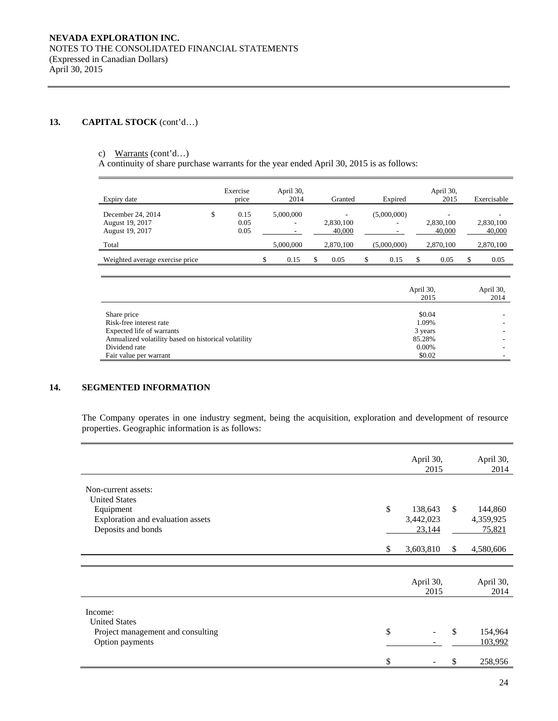# **13. CAPITAL STOCK** (cont'd…)

# c) Warrants (cont'd…)

A continuity of share purchase warrants for the year ended April 30, 2015 is as follows:

| Expiry date                                             | Exercise<br>price    | April 30,<br>2014                     | Granted             | Expired          | April 30,<br>2015        | Exercisable              |
|---------------------------------------------------------|----------------------|---------------------------------------|---------------------|------------------|--------------------------|--------------------------|
| December 24, 2014<br>August 19, 2017<br>August 19, 2017 | 0.15<br>0.05<br>0.05 | 5,000,000<br>$\overline{\phantom{a}}$ | 2,830,100<br>40,000 | (5,000,000)<br>- | ۰<br>2,830,100<br>40,000 | -<br>2,830,100<br>40,000 |
| Total                                                   |                      | 5,000,000                             | 2.870.100           | (5.000.000)      | 2,870,100                | 2,870,100                |
| Weighted average exercise price                         |                      | 0.15                                  | 0.05                | 0.15             | 0.05                     | 0.05                     |

|                                                      | April 30,<br>2015 | April 30,<br>2014 |  |  |
|------------------------------------------------------|-------------------|-------------------|--|--|
| Share price                                          | \$0.04            |                   |  |  |
| Risk-free interest rate                              | 1.09%             |                   |  |  |
| Expected life of warrants                            | 3 years           |                   |  |  |
| Annualized volatility based on historical volatility | 85.28%            |                   |  |  |
| Dividend rate                                        | $0.00\%$          |                   |  |  |
| Fair value per warrant                               | \$0.02            |                   |  |  |

# **14. SEGMENTED INFORMATION**

The Company operates in one industry segment, being the acquisition, exploration and development of resource properties. Geographic information is as follows:

|                                   | April 30,<br>2015 |               | April 30,<br>2014 |
|-----------------------------------|-------------------|---------------|-------------------|
|                                   |                   |               |                   |
| Non-current assets:               |                   |               |                   |
| <b>United States</b>              |                   |               |                   |
| Equipment                         | \$<br>138,643     | <sup>\$</sup> | 144,860           |
| Exploration and evaluation assets | 3,442,023         |               | 4,359,925         |
| Deposits and bonds                | 23,144            |               | 75,821            |
|                                   | \$<br>3,603,810   | \$            | 4,580,606         |
|                                   |                   |               |                   |
|                                   |                   |               |                   |
|                                   | April 30,         |               | April 30,         |
|                                   | 2015              |               | 2014              |
| Income:                           |                   |               |                   |
| <b>United States</b>              |                   |               |                   |
| Project management and consulting | \$                | $\mathbb{S}$  | 154,964           |
| Option payments                   |                   |               | 103,992           |
|                                   | \$                | S             | 258,956           |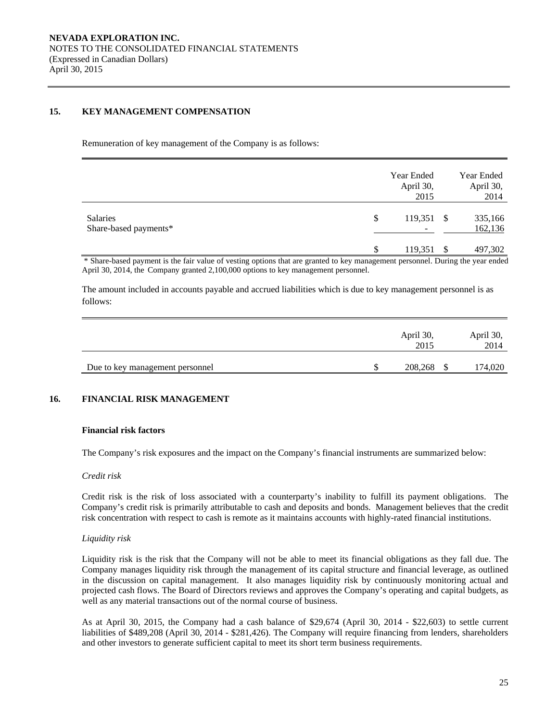# **15. KEY MANAGEMENT COMPENSATION**

Remuneration of key management of the Company is as follows:

|                                   | Year Ended<br>April 30,<br>2015 |      | Year Ended<br>April 30,<br>2014 |
|-----------------------------------|---------------------------------|------|---------------------------------|
| Salaries<br>Share-based payments* | \$<br>119,351                   | - \$ | 335,166<br>162,136              |
|                                   | \$<br>119,351                   | - \$ | 497,302                         |

 \* Share-based payment is the fair value of vesting options that are granted to key management personnel. During the year ended April 30, 2014, the Company granted 2,100,000 options to key management personnel.

The amount included in accounts payable and accrued liabilities which is due to key management personnel is as follows:

|                                 | April 30,<br>2015 | April 30,<br>2014 |
|---------------------------------|-------------------|-------------------|
| Due to key management personnel | 208,268           | 174,020           |

#### **16. FINANCIAL RISK MANAGEMENT**

### **Financial risk factors**

The Company's risk exposures and the impact on the Company's financial instruments are summarized below:

#### *Credit risk*

 Credit risk is the risk of loss associated with a counterparty's inability to fulfill its payment obligations. The Company's credit risk is primarily attributable to cash and deposits and bonds. Management believes that the credit risk concentration with respect to cash is remote as it maintains accounts with highly-rated financial institutions.

#### *Liquidity risk*

Liquidity risk is the risk that the Company will not be able to meet its financial obligations as they fall due. The Company manages liquidity risk through the management of its capital structure and financial leverage, as outlined in the discussion on capital management. It also manages liquidity risk by continuously monitoring actual and projected cash flows. The Board of Directors reviews and approves the Company's operating and capital budgets, as well as any material transactions out of the normal course of business.

As at April 30, 2015, the Company had a cash balance of \$29,674 (April 30, 2014 - \$22,603) to settle current liabilities of \$489,208 (April 30, 2014 - \$281,426). The Company will require financing from lenders, shareholders and other investors to generate sufficient capital to meet its short term business requirements.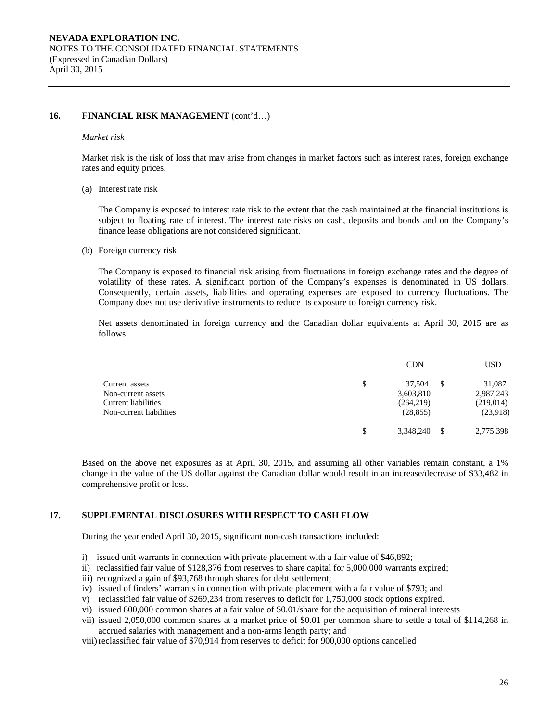# 16. FINANCIAL RISK MANAGEMENT (cont'd...)

#### *Market risk*

Market risk is the risk of loss that may arise from changes in market factors such as interest rates, foreign exchange rates and equity prices.

(a) Interest rate risk

 The Company is exposed to interest rate risk to the extent that the cash maintained at the financial institutions is subject to floating rate of interest. The interest rate risks on cash, deposits and bonds and on the Company's finance lease obligations are not considered significant.

(b) Foreign currency risk

The Company is exposed to financial risk arising from fluctuations in foreign exchange rates and the degree of volatility of these rates. A significant portion of the Company's expenses is denominated in US dollars. Consequently, certain assets, liabilities and operating expenses are exposed to currency fluctuations. The Company does not use derivative instruments to reduce its exposure to foreign currency risk.

Net assets denominated in foreign currency and the Canadian dollar equivalents at April 30, 2015 are as follows:

|                                                                                        | <b>CDN</b>                                           |    | USD                                          |
|----------------------------------------------------------------------------------------|------------------------------------------------------|----|----------------------------------------------|
| Current assets<br>Non-current assets<br>Current liabilities<br>Non-current liabilities | \$<br>37,504<br>3,603,810<br>(264, 219)<br>(28, 855) | S  | 31,087<br>2,987,243<br>(219,014)<br>(23,918) |
|                                                                                        | \$<br>3,348,240                                      | \$ | 2,775,398                                    |

Based on the above net exposures as at April 30, 2015, and assuming all other variables remain constant, a 1% change in the value of the US dollar against the Canadian dollar would result in an increase/decrease of \$33,482 in comprehensive profit or loss.

# **17. SUPPLEMENTAL DISCLOSURES WITH RESPECT TO CASH FLOW**

During the year ended April 30, 2015, significant non-cash transactions included:

- i) issued unit warrants in connection with private placement with a fair value of \$46,892;
- ii) reclassified fair value of \$128,376 from reserves to share capital for 5,000,000 warrants expired;
- iii) recognized a gain of \$93,768 through shares for debt settlement;
- iv) issued of finders' warrants in connection with private placement with a fair value of \$793; and
- v) reclassified fair value of \$269,234 from reserves to deficit for 1,750,000 stock options expired.
- vi) issued 800,000 common shares at a fair value of \$0.01/share for the acquisition of mineral interests
- vii) issued 2,050,000 common shares at a market price of \$0.01 per common share to settle a total of \$114,268 in accrued salaries with management and a non-arms length party; and

viii) reclassified fair value of \$70,914 from reserves to deficit for 900,000 options cancelled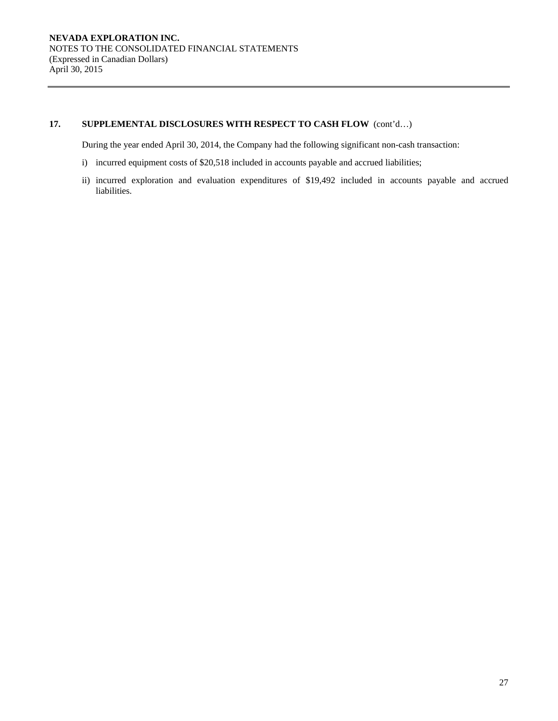# 17. SUPPLEMENTAL DISCLOSURES WITH RESPECT TO CASH FLOW  $(cont'd...)$

During the year ended April 30, 2014, the Company had the following significant non-cash transaction:

- i) incurred equipment costs of \$20,518 included in accounts payable and accrued liabilities;
- ii) incurred exploration and evaluation expenditures of \$19,492 included in accounts payable and accrued liabilities.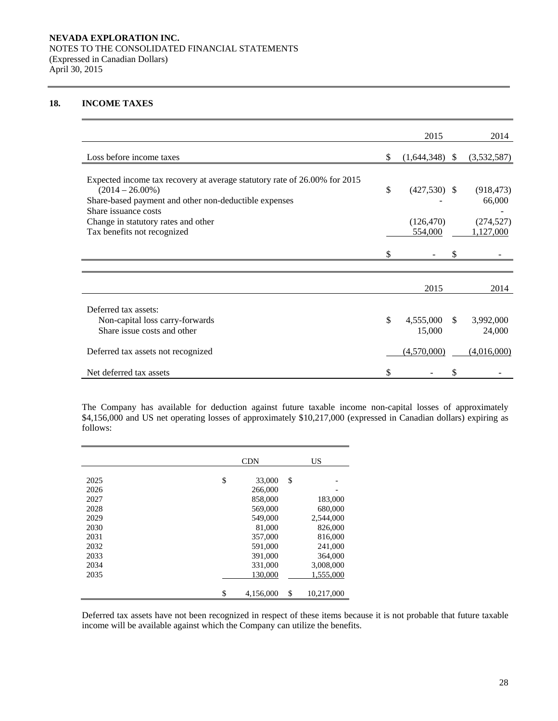# **NEVADA EXPLORATION INC.**  NOTES TO THE CONSOLIDATED FINANCIAL STATEMENTS (Expressed in Canadian Dollars) April 30, 2015

# **18. INCOME TAXES**

|                                                                                                                                                                                  |    | 2015                  |              | 2014                    |
|----------------------------------------------------------------------------------------------------------------------------------------------------------------------------------|----|-----------------------|--------------|-------------------------|
| Loss before income taxes                                                                                                                                                         | \$ | $(1,644,348)$ \$      |              | (3,532,587)             |
| Expected income tax recovery at average statutory rate of 26.00% for 2015<br>$(2014 - 26.00\%)$<br>Share-based payment and other non-deductible expenses<br>Share issuance costs | \$ | $(427,530)$ \$        |              | (918, 473)<br>66,000    |
| Change in statutory rates and other<br>Tax benefits not recognized                                                                                                               |    | (126, 470)<br>554,000 |              | (274, 527)<br>1,127,000 |
|                                                                                                                                                                                  | S  |                       | \$           |                         |
|                                                                                                                                                                                  |    |                       |              |                         |
|                                                                                                                                                                                  |    | 2015                  |              | 2014                    |
| Deferred tax assets:<br>Non-capital loss carry-forwards<br>Share issue costs and other                                                                                           | \$ | 4,555,000<br>15,000   | <sup>S</sup> | 3,992,000<br>24,000     |
| Deferred tax assets not recognized                                                                                                                                               |    | (4,570,000)           |              | (4,016,000)             |
| Net deferred tax assets                                                                                                                                                          | \$ |                       |              |                         |

 The Company has available for deduction against future taxable income non-capital losses of approximately \$4,156,000 and US net operating losses of approximately \$10,217,000 (expressed in Canadian dollars) expiring as follows:

|      | <b>CDN</b>      | US               |  |  |
|------|-----------------|------------------|--|--|
| 2025 | \$<br>33,000    | \$               |  |  |
| 2026 | 266,000         |                  |  |  |
| 2027 | 858,000         | 183,000          |  |  |
| 2028 | 569,000         | 680,000          |  |  |
| 2029 | 549,000         | 2,544,000        |  |  |
| 2030 | 81,000          | 826,000          |  |  |
| 2031 | 357,000         | 816,000          |  |  |
| 2032 | 591,000         | 241,000          |  |  |
| 2033 | 391,000         | 364,000          |  |  |
| 2034 | 331,000         | 3,008,000        |  |  |
| 2035 | 130,000         | 1,555,000        |  |  |
|      |                 |                  |  |  |
|      | \$<br>4,156,000 | \$<br>10,217,000 |  |  |

Deferred tax assets have not been recognized in respect of these items because it is not probable that future taxable income will be available against which the Company can utilize the benefits.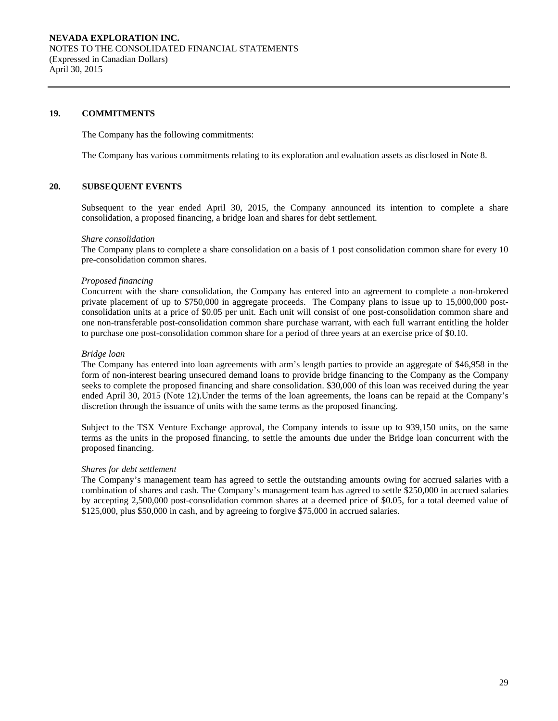### **19. COMMITMENTS**

The Company has the following commitments:

The Company has various commitments relating to its exploration and evaluation assets as disclosed in Note 8.

# **20. SUBSEQUENT EVENTS**

Subsequent to the year ended April 30, 2015, the Company announced its intention to complete a share consolidation, a proposed financing, a bridge loan and shares for debt settlement.

#### *Share consolidation*

The Company plans to complete a share consolidation on a basis of 1 post consolidation common share for every 10 pre-consolidation common shares.

#### *Proposed financing*

Concurrent with the share consolidation, the Company has entered into an agreement to complete a non-brokered private placement of up to \$750,000 in aggregate proceeds. The Company plans to issue up to 15,000,000 postconsolidation units at a price of \$0.05 per unit. Each unit will consist of one post-consolidation common share and one non-transferable post-consolidation common share purchase warrant, with each full warrant entitling the holder to purchase one post-consolidation common share for a period of three years at an exercise price of \$0.10.

#### *Bridge loan*

The Company has entered into loan agreements with arm's length parties to provide an aggregate of \$46,958 in the form of non-interest bearing unsecured demand loans to provide bridge financing to the Company as the Company seeks to complete the proposed financing and share consolidation. \$30,000 of this loan was received during the year ended April 30, 2015 (Note 12).Under the terms of the loan agreements, the loans can be repaid at the Company's discretion through the issuance of units with the same terms as the proposed financing.

Subject to the TSX Venture Exchange approval, the Company intends to issue up to 939,150 units, on the same terms as the units in the proposed financing, to settle the amounts due under the Bridge loan concurrent with the proposed financing.

#### *Shares for debt settlement*

The Company's management team has agreed to settle the outstanding amounts owing for accrued salaries with a combination of shares and cash. The Company's management team has agreed to settle \$250,000 in accrued salaries by accepting 2,500,000 post-consolidation common shares at a deemed price of \$0.05, for a total deemed value of \$125,000, plus \$50,000 in cash, and by agreeing to forgive \$75,000 in accrued salaries.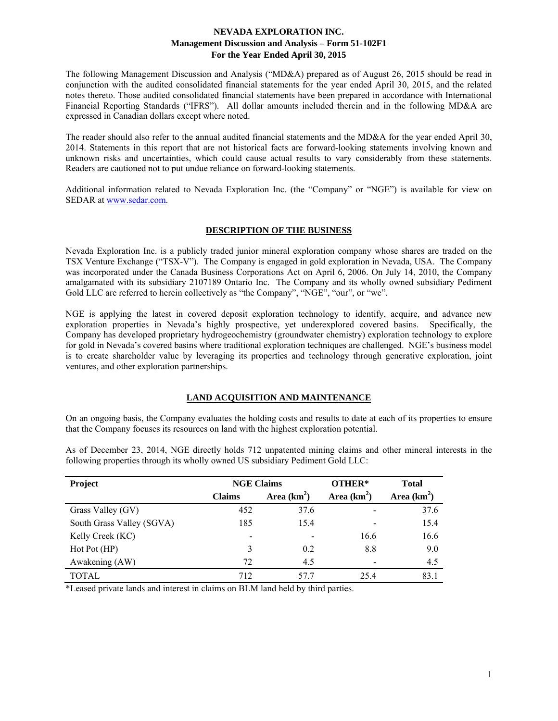The following Management Discussion and Analysis ("MD&A) prepared as of August 26, 2015 should be read in conjunction with the audited consolidated financial statements for the year ended April 30, 2015, and the related notes thereto. Those audited consolidated financial statements have been prepared in accordance with International Financial Reporting Standards ("IFRS"). All dollar amounts included therein and in the following MD&A are expressed in Canadian dollars except where noted.

The reader should also refer to the annual audited financial statements and the MD&A for the year ended April 30, 2014. Statements in this report that are not historical facts are forward-looking statements involving known and unknown risks and uncertainties, which could cause actual results to vary considerably from these statements. Readers are cautioned not to put undue reliance on forward-looking statements.

Additional information related to Nevada Exploration Inc. (the "Company" or "NGE") is available for view on SEDAR at www.sedar.com.

# **DESCRIPTION OF THE BUSINESS**

Nevada Exploration Inc. is a publicly traded junior mineral exploration company whose shares are traded on the TSX Venture Exchange ("TSX-V"). The Company is engaged in gold exploration in Nevada, USA. The Company was incorporated under the Canada Business Corporations Act on April 6, 2006. On July 14, 2010, the Company amalgamated with its subsidiary 2107189 Ontario Inc. The Company and its wholly owned subsidiary Pediment Gold LLC are referred to herein collectively as "the Company", "NGE", "our", or "we".

NGE is applying the latest in covered deposit exploration technology to identify, acquire, and advance new exploration properties in Nevada's highly prospective, yet underexplored covered basins. Specifically, the Company has developed proprietary hydrogeochemistry (groundwater chemistry) exploration technology to explore for gold in Nevada's covered basins where traditional exploration techniques are challenged. NGE's business model is to create shareholder value by leveraging its properties and technology through generative exploration, joint ventures, and other exploration partnerships.

# **LAND ACQUISITION AND MAINTENANCE**

On an ongoing basis, the Company evaluates the holding costs and results to date at each of its properties to ensure that the Company focuses its resources on land with the highest exploration potential.

As of December 23, 2014, NGE directly holds 712 unpatented mining claims and other mineral interests in the following properties through its wholly owned US subsidiary Pediment Gold LLC:

| <b>Project</b>            | <b>NGE Claims</b>        |               | OTHER*       | <b>Total</b>  |
|---------------------------|--------------------------|---------------|--------------|---------------|
|                           | <b>Claims</b>            | Area $(km^2)$ | Area $(km2)$ | Area $(km^2)$ |
| Grass Valley (GV)         | 452                      | 37.6          |              | 37.6          |
| South Grass Valley (SGVA) | 185                      | 15.4          |              | 15.4          |
| Kelly Creek (KC)          | $\overline{\phantom{a}}$ |               | 16.6         | 16.6          |
| Hot Pot (HP)              | 3                        | 0.2           | 8.8          | 9.0           |
| Awakening (AW)            | 72                       | 4.5           |              | 4.5           |
| TOTAL                     | 712                      | 57 7          | 25.4         | 831           |

\*Leased private lands and interest in claims on BLM land held by third parties.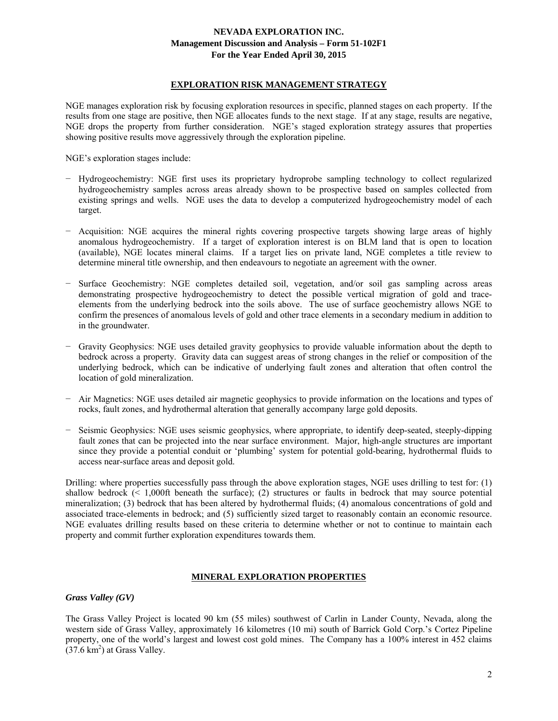# **EXPLORATION RISK MANAGEMENT STRATEGY**

NGE manages exploration risk by focusing exploration resources in specific, planned stages on each property. If the results from one stage are positive, then NGE allocates funds to the next stage. If at any stage, results are negative, NGE drops the property from further consideration. NGE's staged exploration strategy assures that properties showing positive results move aggressively through the exploration pipeline.

NGE's exploration stages include:

- − Hydrogeochemistry: NGE first uses its proprietary hydroprobe sampling technology to collect regularized hydrogeochemistry samples across areas already shown to be prospective based on samples collected from existing springs and wells. NGE uses the data to develop a computerized hydrogeochemistry model of each target.
- − Acquisition: NGE acquires the mineral rights covering prospective targets showing large areas of highly anomalous hydrogeochemistry. If a target of exploration interest is on BLM land that is open to location (available), NGE locates mineral claims. If a target lies on private land, NGE completes a title review to determine mineral title ownership, and then endeavours to negotiate an agreement with the owner.
- Surface Geochemistry: NGE completes detailed soil, vegetation, and/or soil gas sampling across areas demonstrating prospective hydrogeochemistry to detect the possible vertical migration of gold and traceelements from the underlying bedrock into the soils above. The use of surface geochemistry allows NGE to confirm the presences of anomalous levels of gold and other trace elements in a secondary medium in addition to in the groundwater.
- − Gravity Geophysics: NGE uses detailed gravity geophysics to provide valuable information about the depth to bedrock across a property. Gravity data can suggest areas of strong changes in the relief or composition of the underlying bedrock, which can be indicative of underlying fault zones and alteration that often control the location of gold mineralization.
- − Air Magnetics: NGE uses detailed air magnetic geophysics to provide information on the locations and types of rocks, fault zones, and hydrothermal alteration that generally accompany large gold deposits.
- − Seismic Geophysics: NGE uses seismic geophysics, where appropriate, to identify deep-seated, steeply-dipping fault zones that can be projected into the near surface environment. Major, high-angle structures are important since they provide a potential conduit or 'plumbing' system for potential gold-bearing, hydrothermal fluids to access near-surface areas and deposit gold.

Drilling: where properties successfully pass through the above exploration stages, NGE uses drilling to test for: (1) shallow bedrock (< 1,000ft beneath the surface); (2) structures or faults in bedrock that may source potential mineralization; (3) bedrock that has been altered by hydrothermal fluids; (4) anomalous concentrations of gold and associated trace-elements in bedrock; and (5) sufficiently sized target to reasonably contain an economic resource. NGE evaluates drilling results based on these criteria to determine whether or not to continue to maintain each property and commit further exploration expenditures towards them.

# **MINERAL EXPLORATION PROPERTIES**

#### *Grass Valley (GV)*

The Grass Valley Project is located 90 km (55 miles) southwest of Carlin in Lander County, Nevada, along the western side of Grass Valley, approximately 16 kilometres (10 mi) south of Barrick Gold Corp.'s Cortez Pipeline property, one of the world's largest and lowest cost gold mines. The Company has a 100% interest in 452 claims  $(37.6 \text{ km}^2)$  at Grass Valley.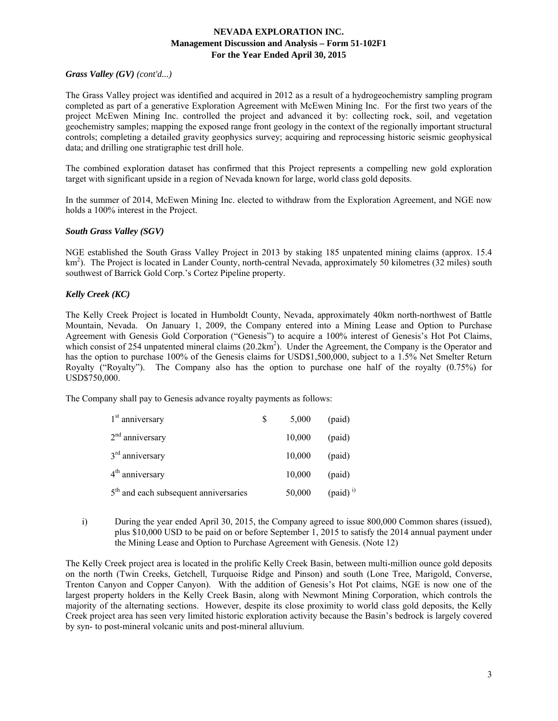# *Grass Valley (GV) (cont'd...)*

The Grass Valley project was identified and acquired in 2012 as a result of a hydrogeochemistry sampling program completed as part of a generative Exploration Agreement with McEwen Mining Inc. For the first two years of the project McEwen Mining Inc. controlled the project and advanced it by: collecting rock, soil, and vegetation geochemistry samples; mapping the exposed range front geology in the context of the regionally important structural controls; completing a detailed gravity geophysics survey; acquiring and reprocessing historic seismic geophysical data; and drilling one stratigraphic test drill hole.

The combined exploration dataset has confirmed that this Project represents a compelling new gold exploration target with significant upside in a region of Nevada known for large, world class gold deposits.

In the summer of 2014, McEwen Mining Inc. elected to withdraw from the Exploration Agreement, and NGE now holds a 100% interest in the Project.

### *South Grass Valley (SGV)*

NGE established the South Grass Valley Project in 2013 by staking 185 unpatented mining claims (approx. 15.4 km<sup>2</sup>). The Project is located in Lander County, north-central Nevada, approximately 50 kilometres (32 miles) south southwest of Barrick Gold Corp.'s Cortez Pipeline property.

# *Kelly Creek (KC)*

The Kelly Creek Project is located in Humboldt County, Nevada, approximately 40km north-northwest of Battle Mountain, Nevada. On January 1, 2009, the Company entered into a Mining Lease and Option to Purchase Agreement with Genesis Gold Corporation ("Genesis") to acquire a 100% interest of Genesis's Hot Pot Claims, which consist of 254 unpatented mineral claims  $(20.2 \text{km}^2)$ . Under the Agreement, the Company is the Operator and has the option to purchase 100% of the Genesis claims for USD\$1,500,000, subject to a 1.5% Net Smelter Return Royalty ("Royalty"). The Company also has the option to purchase one half of the royalty (0.75%) for USD\$750,000.

The Company shall pay to Genesis advance royalty payments as follows:

| 1 <sup>st</sup> anniversary                       | S | 5.000  | (paid)               |
|---------------------------------------------------|---|--------|----------------------|
| 2 <sup>nd</sup> anniversary                       |   | 10,000 | (paid)               |
| 3 <sup>rd</sup> anniversary                       |   | 10,000 | (paid)               |
| 4 <sup>th</sup> anniversary                       |   | 10,000 | (paid)               |
| 5 <sup>th</sup> and each subsequent anniversaries |   | 50,000 | (paid) <sup>i)</sup> |

i) During the year ended April 30, 2015, the Company agreed to issue 800,000 Common shares (issued), plus \$10,000 USD to be paid on or before September 1, 2015 to satisfy the 2014 annual payment under the Mining Lease and Option to Purchase Agreement with Genesis. (Note 12)

The Kelly Creek project area is located in the prolific Kelly Creek Basin, between multi-million ounce gold deposits on the north (Twin Creeks, Getchell, Turquoise Ridge and Pinson) and south (Lone Tree, Marigold, Converse, Trenton Canyon and Copper Canyon). With the addition of Genesis's Hot Pot claims, NGE is now one of the largest property holders in the Kelly Creek Basin, along with Newmont Mining Corporation, which controls the majority of the alternating sections. However, despite its close proximity to world class gold deposits, the Kelly Creek project area has seen very limited historic exploration activity because the Basin's bedrock is largely covered by syn- to post-mineral volcanic units and post-mineral alluvium.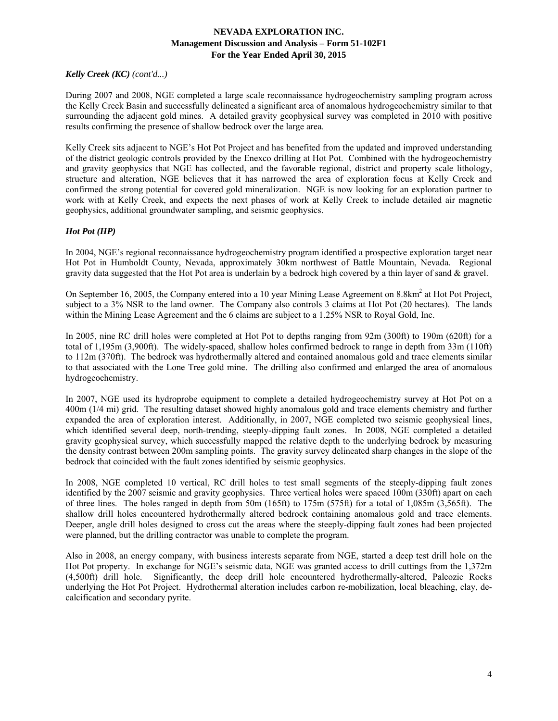# *Kelly Creek (KC) (cont'd...)*

During 2007 and 2008, NGE completed a large scale reconnaissance hydrogeochemistry sampling program across the Kelly Creek Basin and successfully delineated a significant area of anomalous hydrogeochemistry similar to that surrounding the adjacent gold mines. A detailed gravity geophysical survey was completed in 2010 with positive results confirming the presence of shallow bedrock over the large area.

Kelly Creek sits adjacent to NGE's Hot Pot Project and has benefited from the updated and improved understanding of the district geologic controls provided by the Enexco drilling at Hot Pot. Combined with the hydrogeochemistry and gravity geophysics that NGE has collected, and the favorable regional, district and property scale lithology, structure and alteration, NGE believes that it has narrowed the area of exploration focus at Kelly Creek and confirmed the strong potential for covered gold mineralization. NGE is now looking for an exploration partner to work with at Kelly Creek, and expects the next phases of work at Kelly Creek to include detailed air magnetic geophysics, additional groundwater sampling, and seismic geophysics.

# *Hot Pot (HP)*

In 2004, NGE's regional reconnaissance hydrogeochemistry program identified a prospective exploration target near Hot Pot in Humboldt County, Nevada, approximately 30km northwest of Battle Mountain, Nevada. Regional gravity data suggested that the Hot Pot area is underlain by a bedrock high covered by a thin layer of sand & gravel.

On September 16, 2005, the Company entered into a 10 year Mining Lease Agreement on 8.8km<sup>2</sup> at Hot Pot Project, subject to a 3% NSR to the land owner. The Company also controls 3 claims at Hot Pot (20 hectares). The lands within the Mining Lease Agreement and the 6 claims are subject to a 1.25% NSR to Royal Gold, Inc.

In 2005, nine RC drill holes were completed at Hot Pot to depths ranging from 92m (300ft) to 190m (620ft) for a total of 1,195m (3,900ft). The widely-spaced, shallow holes confirmed bedrock to range in depth from 33m (110ft) to 112m (370ft). The bedrock was hydrothermally altered and contained anomalous gold and trace elements similar to that associated with the Lone Tree gold mine. The drilling also confirmed and enlarged the area of anomalous hydrogeochemistry.

In 2007, NGE used its hydroprobe equipment to complete a detailed hydrogeochemistry survey at Hot Pot on a 400m (1/4 mi) grid. The resulting dataset showed highly anomalous gold and trace elements chemistry and further expanded the area of exploration interest. Additionally, in 2007, NGE completed two seismic geophysical lines, which identified several deep, north-trending, steeply-dipping fault zones. In 2008, NGE completed a detailed gravity geophysical survey, which successfully mapped the relative depth to the underlying bedrock by measuring the density contrast between 200m sampling points. The gravity survey delineated sharp changes in the slope of the bedrock that coincided with the fault zones identified by seismic geophysics.

In 2008, NGE completed 10 vertical, RC drill holes to test small segments of the steeply-dipping fault zones identified by the 2007 seismic and gravity geophysics. Three vertical holes were spaced 100m (330ft) apart on each of three lines. The holes ranged in depth from 50m (165ft) to 175m (575ft) for a total of 1,085m (3,565ft). The shallow drill holes encountered hydrothermally altered bedrock containing anomalous gold and trace elements. Deeper, angle drill holes designed to cross cut the areas where the steeply-dipping fault zones had been projected were planned, but the drilling contractor was unable to complete the program.

Also in 2008, an energy company, with business interests separate from NGE, started a deep test drill hole on the Hot Pot property. In exchange for NGE's seismic data, NGE was granted access to drill cuttings from the 1,372m (4,500ft) drill hole. Significantly, the deep drill hole encountered hydrothermally-altered, Paleozic Rocks underlying the Hot Pot Project. Hydrothermal alteration includes carbon re-mobilization, local bleaching, clay, decalcification and secondary pyrite.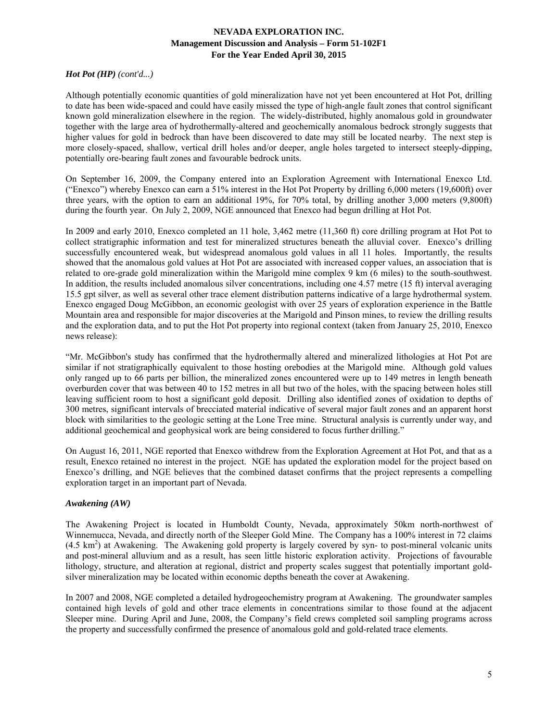# *Hot Pot (HP) (cont'd...)*

Although potentially economic quantities of gold mineralization have not yet been encountered at Hot Pot, drilling to date has been wide-spaced and could have easily missed the type of high-angle fault zones that control significant known gold mineralization elsewhere in the region. The widely-distributed, highly anomalous gold in groundwater together with the large area of hydrothermally-altered and geochemically anomalous bedrock strongly suggests that higher values for gold in bedrock than have been discovered to date may still be located nearby. The next step is more closely-spaced, shallow, vertical drill holes and/or deeper, angle holes targeted to intersect steeply-dipping, potentially ore-bearing fault zones and favourable bedrock units.

On September 16, 2009, the Company entered into an Exploration Agreement with International Enexco Ltd. ("Enexco") whereby Enexco can earn a 51% interest in the Hot Pot Property by drilling 6,000 meters (19,600ft) over three years, with the option to earn an additional 19%, for 70% total, by drilling another 3,000 meters (9,800ft) during the fourth year. On July 2, 2009, NGE announced that Enexco had begun drilling at Hot Pot.

In 2009 and early 2010, Enexco completed an 11 hole, 3,462 metre (11,360 ft) core drilling program at Hot Pot to collect stratigraphic information and test for mineralized structures beneath the alluvial cover. Enexco's drilling successfully encountered weak, but widespread anomalous gold values in all 11 holes. Importantly, the results showed that the anomalous gold values at Hot Pot are associated with increased copper values, an association that is related to ore-grade gold mineralization within the Marigold mine complex 9 km (6 miles) to the south-southwest. In addition, the results included anomalous silver concentrations, including one 4.57 metre (15 ft) interval averaging 15.5 gpt silver, as well as several other trace element distribution patterns indicative of a large hydrothermal system. Enexco engaged Doug McGibbon, an economic geologist with over 25 years of exploration experience in the Battle Mountain area and responsible for major discoveries at the Marigold and Pinson mines, to review the drilling results and the exploration data, and to put the Hot Pot property into regional context (taken from January 25, 2010, Enexco news release):

"Mr. McGibbon's study has confirmed that the hydrothermally altered and mineralized lithologies at Hot Pot are similar if not stratigraphically equivalent to those hosting orebodies at the Marigold mine. Although gold values only ranged up to 66 parts per billion, the mineralized zones encountered were up to 149 metres in length beneath overburden cover that was between 40 to 152 metres in all but two of the holes, with the spacing between holes still leaving sufficient room to host a significant gold deposit. Drilling also identified zones of oxidation to depths of 300 metres, significant intervals of brecciated material indicative of several major fault zones and an apparent horst block with similarities to the geologic setting at the Lone Tree mine. Structural analysis is currently under way, and additional geochemical and geophysical work are being considered to focus further drilling."

On August 16, 2011, NGE reported that Enexco withdrew from the Exploration Agreement at Hot Pot, and that as a result, Enexco retained no interest in the project. NGE has updated the exploration model for the project based on Enexco's drilling, and NGE believes that the combined dataset confirms that the project represents a compelling exploration target in an important part of Nevada.

# *Awakening (AW)*

The Awakening Project is located in Humboldt County, Nevada, approximately 50km north-northwest of Winnemucca, Nevada, and directly north of the Sleeper Gold Mine. The Company has a 100% interest in 72 claims (4.5 km<sup>2</sup>) at Awakening. The Awakening gold property is largely covered by syn- to post-mineral volcanic units and post-mineral alluvium and as a result, has seen little historic exploration activity. Projections of favourable lithology, structure, and alteration at regional, district and property scales suggest that potentially important goldsilver mineralization may be located within economic depths beneath the cover at Awakening.

In 2007 and 2008, NGE completed a detailed hydrogeochemistry program at Awakening. The groundwater samples contained high levels of gold and other trace elements in concentrations similar to those found at the adjacent Sleeper mine. During April and June, 2008, the Company's field crews completed soil sampling programs across the property and successfully confirmed the presence of anomalous gold and gold-related trace elements.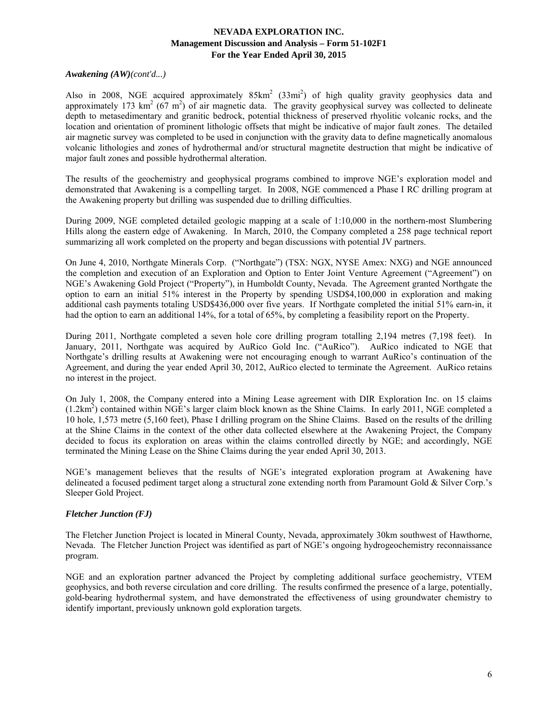### *Awakening (AW)(cont'd...)*

Also in 2008, NGE acquired approximately 85km<sup>2</sup> (33mi<sup>2</sup>) of high quality gravity geophysics data and approximately 173 km<sup>2</sup> ( $67 \text{ m}^2$ ) of air magnetic data. The gravity geophysical survey was collected to delineate depth to metasedimentary and granitic bedrock, potential thickness of preserved rhyolitic volcanic rocks, and the location and orientation of prominent lithologic offsets that might be indicative of major fault zones. The detailed air magnetic survey was completed to be used in conjunction with the gravity data to define magnetically anomalous volcanic lithologies and zones of hydrothermal and/or structural magnetite destruction that might be indicative of major fault zones and possible hydrothermal alteration.

The results of the geochemistry and geophysical programs combined to improve NGE's exploration model and demonstrated that Awakening is a compelling target. In 2008, NGE commenced a Phase I RC drilling program at the Awakening property but drilling was suspended due to drilling difficulties.

During 2009, NGE completed detailed geologic mapping at a scale of 1:10,000 in the northern-most Slumbering Hills along the eastern edge of Awakening. In March, 2010, the Company completed a 258 page technical report summarizing all work completed on the property and began discussions with potential JV partners.

On June 4, 2010, Northgate Minerals Corp. ("Northgate") (TSX: NGX, NYSE Amex: NXG) and NGE announced the completion and execution of an Exploration and Option to Enter Joint Venture Agreement ("Agreement") on NGE's Awakening Gold Project ("Property"), in Humboldt County, Nevada. The Agreement granted Northgate the option to earn an initial 51% interest in the Property by spending USD\$4,100,000 in exploration and making additional cash payments totaling USD\$436,000 over five years. If Northgate completed the initial 51% earn-in, it had the option to earn an additional 14%, for a total of 65%, by completing a feasibility report on the Property.

During 2011, Northgate completed a seven hole core drilling program totalling 2,194 metres (7,198 feet). In January, 2011, Northgate was acquired by AuRico Gold Inc. ("AuRico"). AuRico indicated to NGE that Northgate's drilling results at Awakening were not encouraging enough to warrant AuRico's continuation of the Agreement, and during the year ended April 30, 2012, AuRico elected to terminate the Agreement. AuRico retains no interest in the project.

On July 1, 2008, the Company entered into a Mining Lease agreement with DIR Exploration Inc. on 15 claims  $(1.2km<sup>2</sup>)$  contained within NGE's larger claim block known as the Shine Claims. In early 2011, NGE completed a 10 hole, 1,573 metre (5,160 feet), Phase I drilling program on the Shine Claims. Based on the results of the drilling at the Shine Claims in the context of the other data collected elsewhere at the Awakening Project, the Company decided to focus its exploration on areas within the claims controlled directly by NGE; and accordingly, NGE terminated the Mining Lease on the Shine Claims during the year ended April 30, 2013.

NGE's management believes that the results of NGE's integrated exploration program at Awakening have delineated a focused pediment target along a structural zone extending north from Paramount Gold & Silver Corp.'s Sleeper Gold Project.

# *Fletcher Junction (FJ)*

The Fletcher Junction Project is located in Mineral County, Nevada, approximately 30km southwest of Hawthorne, Nevada. The Fletcher Junction Project was identified as part of NGE's ongoing hydrogeochemistry reconnaissance program.

NGE and an exploration partner advanced the Project by completing additional surface geochemistry, VTEM geophysics, and both reverse circulation and core drilling. The results confirmed the presence of a large, potentially, gold-bearing hydrothermal system, and have demonstrated the effectiveness of using groundwater chemistry to identify important, previously unknown gold exploration targets.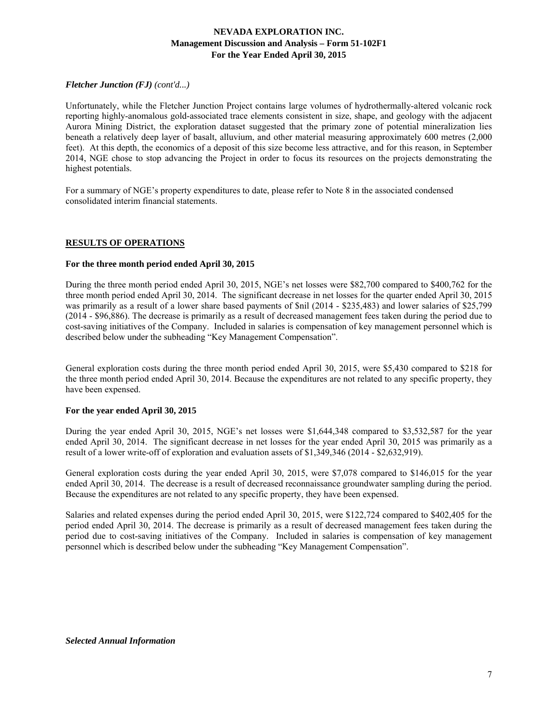# *Fletcher Junction (FJ) (cont'd...)*

Unfortunately, while the Fletcher Junction Project contains large volumes of hydrothermally-altered volcanic rock reporting highly-anomalous gold-associated trace elements consistent in size, shape, and geology with the adjacent Aurora Mining District, the exploration dataset suggested that the primary zone of potential mineralization lies beneath a relatively deep layer of basalt, alluvium, and other material measuring approximately 600 metres (2,000 feet). At this depth, the economics of a deposit of this size become less attractive, and for this reason, in September 2014, NGE chose to stop advancing the Project in order to focus its resources on the projects demonstrating the highest potentials.

For a summary of NGE's property expenditures to date, please refer to Note 8 in the associated condensed consolidated interim financial statements.

# **RESULTS OF OPERATIONS**

### **For the three month period ended April 30, 2015**

During the three month period ended April 30, 2015, NGE's net losses were \$82,700 compared to \$400,762 for the three month period ended April 30, 2014. The significant decrease in net losses for the quarter ended April 30, 2015 was primarily as a result of a lower share based payments of  $\text{\$nil}$  (2014 -  $\text{\$235,483}$ ) and lower salaries of  $\text{\$25,799}$ (2014 - \$96,886). The decrease is primarily as a result of decreased management fees taken during the period due to cost-saving initiatives of the Company. Included in salaries is compensation of key management personnel which is described below under the subheading "Key Management Compensation".

General exploration costs during the three month period ended April 30, 2015, were \$5,430 compared to \$218 for the three month period ended April 30, 2014. Because the expenditures are not related to any specific property, they have been expensed.

# **For the year ended April 30, 2015**

During the year ended April 30, 2015, NGE's net losses were \$1,644,348 compared to \$3,532,587 for the year ended April 30, 2014. The significant decrease in net losses for the year ended April 30, 2015 was primarily as a result of a lower write-off of exploration and evaluation assets of \$1,349,346 (2014 - \$2,632,919).

General exploration costs during the year ended April 30, 2015, were \$7,078 compared to \$146,015 for the year ended April 30, 2014. The decrease is a result of decreased reconnaissance groundwater sampling during the period. Because the expenditures are not related to any specific property, they have been expensed.

Salaries and related expenses during the period ended April 30, 2015, were \$122,724 compared to \$402,405 for the period ended April 30, 2014. The decrease is primarily as a result of decreased management fees taken during the period due to cost-saving initiatives of the Company. Included in salaries is compensation of key management personnel which is described below under the subheading "Key Management Compensation".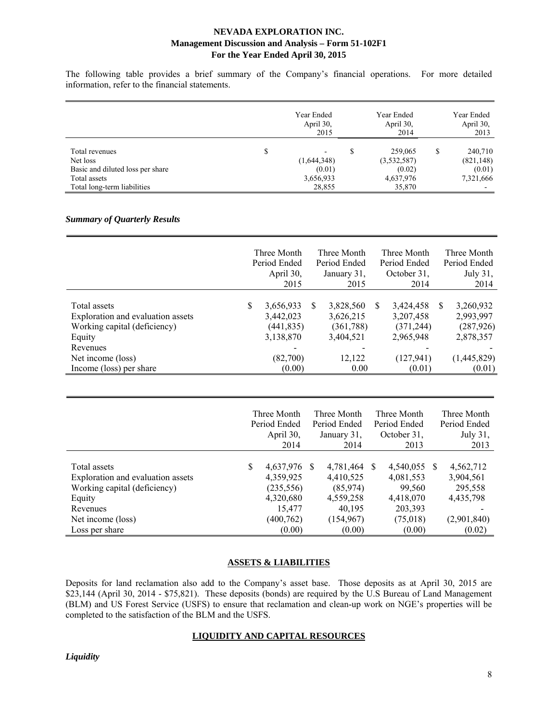The following table provides a brief summary of the Company's financial operations. For more detailed information, refer to the financial statements.

|                                              |   | Year Ended<br>April 30,<br>2015 |   | Year Ended<br>April 30,<br>2014 | Year Ended<br>April 30,<br>2013 |
|----------------------------------------------|---|---------------------------------|---|---------------------------------|---------------------------------|
| Total revenues                               | D | $\overline{\phantom{a}}$        | S | 259,065                         | 240,710                         |
| Net loss<br>Basic and diluted loss per share |   | (1,644,348)<br>(0.01)           |   | (3,532,587)<br>(0.02)           | (821, 148)<br>(0.01)            |
| Total assets                                 |   | 3,656,933                       |   | 4,637,976                       | 7,321,666                       |
| Total long-term liabilities                  |   | 28,855                          |   | 35,870                          |                                 |

### *Summary of Quarterly Results*

|                                                                                                                                                         |     | Three Month<br>Period Ended<br>April 30,<br>2015                        |   | Three Month<br>Period Ended<br>January 31,<br>2015                 |    | Three Month<br>Period Ended<br>October 31,<br>2014                        |   | Three Month<br>Period Ended<br>July 31,<br>2014                            |
|---------------------------------------------------------------------------------------------------------------------------------------------------------|-----|-------------------------------------------------------------------------|---|--------------------------------------------------------------------|----|---------------------------------------------------------------------------|---|----------------------------------------------------------------------------|
| Total assets<br>Exploration and evaluation assets<br>Working capital (deficiency)<br>Equity<br>Revenues<br>Net income (loss)<br>Income (loss) per share | \$. | 3,656,933<br>3,442,023<br>(441, 835)<br>3,138,870<br>(82,700)<br>(0.00) | S | 3,828,560<br>3,626,215<br>(361,788)<br>3,404,521<br>12,122<br>0.00 | S. | 3,424,458<br>3,207,458<br>(371, 244)<br>2,965,948<br>(127, 941)<br>(0.01) | S | 3,260,932<br>2,993,997<br>(287, 926)<br>2,878,357<br>(1,445,829)<br>(0.01) |

|                                                                                             |     | Three Month<br>Period Ended<br>April 30,<br>2014     | Three Month<br>Period Ended<br>January 31,<br>2014 |    | Three Month<br>Period Ended<br>October 31,<br>2013 | Three Month<br>Period Ended<br>July 31,<br>2013 |
|---------------------------------------------------------------------------------------------|-----|------------------------------------------------------|----------------------------------------------------|----|----------------------------------------------------|-------------------------------------------------|
| Total assets<br>Exploration and evaluation assets<br>Working capital (deficiency)<br>Equity | \$. | 4,637,976 \$<br>4,359,925<br>(235, 556)<br>4,320,680 | 4,781,464<br>4,410,525<br>(85,974)<br>4,559,258    | -S | 4,540,055 \$<br>4,081,553<br>99,560<br>4,418,070   | 4,562,712<br>3,904,561<br>295,558<br>4,435,798  |
| Revenues<br>Net income (loss)<br>Loss per share                                             |     | 15,477<br>(400, 762)<br>(0.00)                       | 40,195<br>(154, 967)<br>(0.00)                     |    | 203,393<br>(75,018)<br>(0.00)                      | (2,901,840)<br>(0.02)                           |

#### **ASSETS & LIABILITIES**

Deposits for land reclamation also add to the Company's asset base. Those deposits as at April 30, 2015 are \$23,144 (April 30, 2014 - \$75,821). These deposits (bonds) are required by the U.S Bureau of Land Management (BLM) and US Forest Service (USFS) to ensure that reclamation and clean-up work on NGE's properties will be completed to the satisfaction of the BLM and the USFS.

# **LIQUIDITY AND CAPITAL RESOURCES**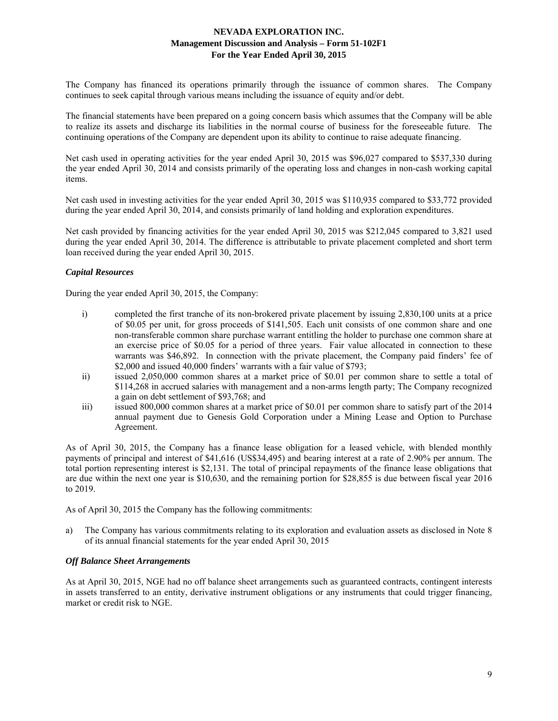The Company has financed its operations primarily through the issuance of common shares. The Company continues to seek capital through various means including the issuance of equity and/or debt.

The financial statements have been prepared on a going concern basis which assumes that the Company will be able to realize its assets and discharge its liabilities in the normal course of business for the foreseeable future. The continuing operations of the Company are dependent upon its ability to continue to raise adequate financing.

Net cash used in operating activities for the year ended April 30, 2015 was \$96,027 compared to \$537,330 during the year ended April 30, 2014 and consists primarily of the operating loss and changes in non-cash working capital items.

Net cash used in investing activities for the year ended April 30, 2015 was \$110,935 compared to \$33,772 provided during the year ended April 30, 2014, and consists primarily of land holding and exploration expenditures.

Net cash provided by financing activities for the year ended April 30, 2015 was \$212,045 compared to 3,821 used during the year ended April 30, 2014. The difference is attributable to private placement completed and short term loan received during the year ended April 30, 2015.

### *Capital Resources*

During the year ended April 30, 2015, the Company:

- i) completed the first tranche of its non-brokered private placement by issuing 2,830,100 units at a price of \$0.05 per unit, for gross proceeds of \$141,505. Each unit consists of one common share and one non-transferable common share purchase warrant entitling the holder to purchase one common share at an exercise price of \$0.05 for a period of three years. Fair value allocated in connection to these warrants was \$46,892. In connection with the private placement, the Company paid finders' fee of \$2,000 and issued 40,000 finders' warrants with a fair value of \$793;
- ii) issued 2,050,000 common shares at a market price of \$0.01 per common share to settle a total of \$114,268 in accrued salaries with management and a non-arms length party; The Company recognized a gain on debt settlement of \$93,768; and
- iii) issued 800,000 common shares at a market price of \$0.01 per common share to satisfy part of the 2014 annual payment due to Genesis Gold Corporation under a Mining Lease and Option to Purchase Agreement.

As of April 30, 2015, the Company has a finance lease obligation for a leased vehicle, with blended monthly payments of principal and interest of \$41,616 (US\$34,495) and bearing interest at a rate of 2.90% per annum. The total portion representing interest is \$2,131. The total of principal repayments of the finance lease obligations that are due within the next one year is \$10,630, and the remaining portion for \$28,855 is due between fiscal year 2016 to 2019.

As of April 30, 2015 the Company has the following commitments:

a) The Company has various commitments relating to its exploration and evaluation assets as disclosed in Note 8 of its annual financial statements for the year ended April 30, 2015

### *Off Balance Sheet Arrangements*

As at April 30, 2015, NGE had no off balance sheet arrangements such as guaranteed contracts, contingent interests in assets transferred to an entity, derivative instrument obligations or any instruments that could trigger financing, market or credit risk to NGE.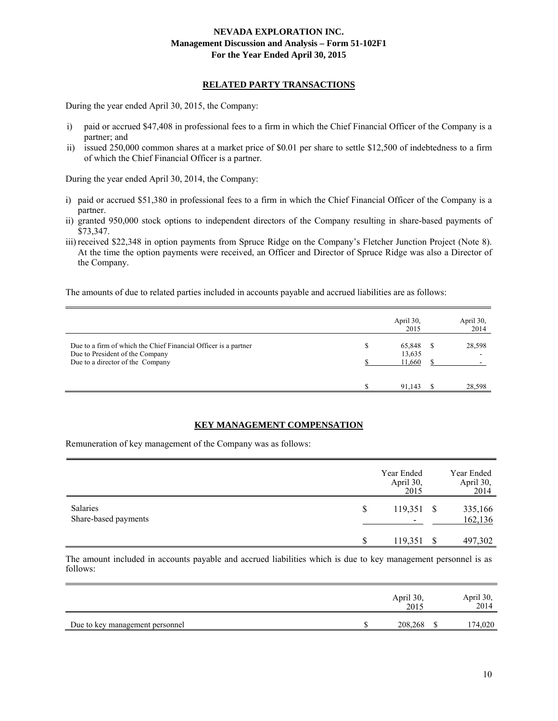# **RELATED PARTY TRANSACTIONS**

During the year ended April 30, 2015, the Company:

- i) paid or accrued \$47,408 in professional fees to a firm in which the Chief Financial Officer of the Company is a partner; and
- ii) issued 250,000 common shares at a market price of \$0.01 per share to settle \$12,500 of indebtedness to a firm of which the Chief Financial Officer is a partner.

During the year ended April 30, 2014, the Company:

- i) paid or accrued \$51,380 in professional fees to a firm in which the Chief Financial Officer of the Company is a partner.
- ii) granted 950,000 stock options to independent directors of the Company resulting in share-based payments of \$73,347.
- iii) received \$22,348 in option payments from Spruce Ridge on the Company's Fletcher Junction Project (Note 8). At the time the option payments were received, an Officer and Director of Spruce Ridge was also a Director of the Company.

The amounts of due to related parties included in accounts payable and accrued liabilities are as follows:

|                                                                                                                                        |   | April 30,<br>2015          |   | April 30,<br>2014 |
|----------------------------------------------------------------------------------------------------------------------------------------|---|----------------------------|---|-------------------|
| Due to a firm of which the Chief Financial Officer is a partner<br>Due to President of the Company<br>Due to a director of the Company | S | 65,848<br>13,635<br>11,660 | S | 28,598            |
|                                                                                                                                        |   | 91.143                     |   | 28,598            |

# **KEY MANAGEMENT COMPENSATION**

Remuneration of key management of the Company was as follows:

|                                         | Year Ended<br>April 30,<br>2015           |               | Year Ended<br>April 30,<br>2014 |
|-----------------------------------------|-------------------------------------------|---------------|---------------------------------|
| <b>Salaries</b><br>Share-based payments | \$<br>119,351<br>$\overline{\phantom{a}}$ | $\mathcal{S}$ | 335,166<br>162,136              |
|                                         | \$<br>119,351                             | S             | 497,302                         |

The amount included in accounts payable and accrued liabilities which is due to key management personnel is as follows:

|                                 | April 30,<br>2015 | April 30,<br>2014 |
|---------------------------------|-------------------|-------------------|
| Due to key management personnel | 208,268           | 174.020           |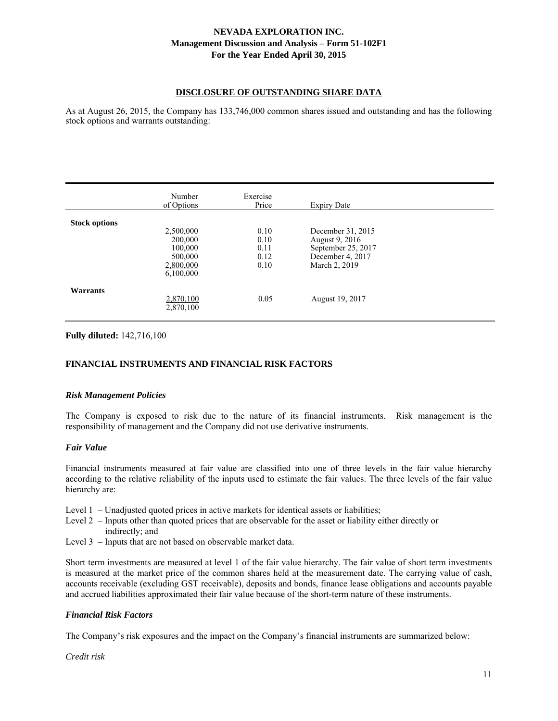# **DISCLOSURE OF OUTSTANDING SHARE DATA**

As at August 26, 2015, the Company has 133,746,000 common shares issued and outstanding and has the following stock options and warrants outstanding:

|                      | Number<br>of Options                                                 | Exercise<br>Price                    | <b>Expiry Date</b>                                                                             |  |
|----------------------|----------------------------------------------------------------------|--------------------------------------|------------------------------------------------------------------------------------------------|--|
| <b>Stock options</b> | 2,500,000<br>200,000<br>100,000<br>500,000<br>2,800,000<br>6,100,000 | 0.10<br>0.10<br>0.11<br>0.12<br>0.10 | December 31, 2015<br>August 9, 2016<br>September 25, 2017<br>December 4, 2017<br>March 2, 2019 |  |
| <b>Warrants</b>      | 2,870,100<br>2,870,100                                               | 0.05                                 | August 19, 2017                                                                                |  |

# **Fully diluted:** 142,716,100

# **FINANCIAL INSTRUMENTS AND FINANCIAL RISK FACTORS**

# *Risk Management Policies*

The Company is exposed to risk due to the nature of its financial instruments. Risk management is the responsibility of management and the Company did not use derivative instruments.

# *Fair Value*

Financial instruments measured at fair value are classified into one of three levels in the fair value hierarchy according to the relative reliability of the inputs used to estimate the fair values. The three levels of the fair value hierarchy are:

- Level 1 Unadjusted quoted prices in active markets for identical assets or liabilities;
- Level 2 Inputs other than quoted prices that are observable for the asset or liability either directly or indirectly; and
- Level 3 Inputs that are not based on observable market data.

Short term investments are measured at level 1 of the fair value hierarchy. The fair value of short term investments is measured at the market price of the common shares held at the measurement date. The carrying value of cash, accounts receivable (excluding GST receivable), deposits and bonds, finance lease obligations and accounts payable and accrued liabilities approximated their fair value because of the short-term nature of these instruments.

# *Financial Risk Factors*

The Company's risk exposures and the impact on the Company's financial instruments are summarized below:

#### *Credit risk*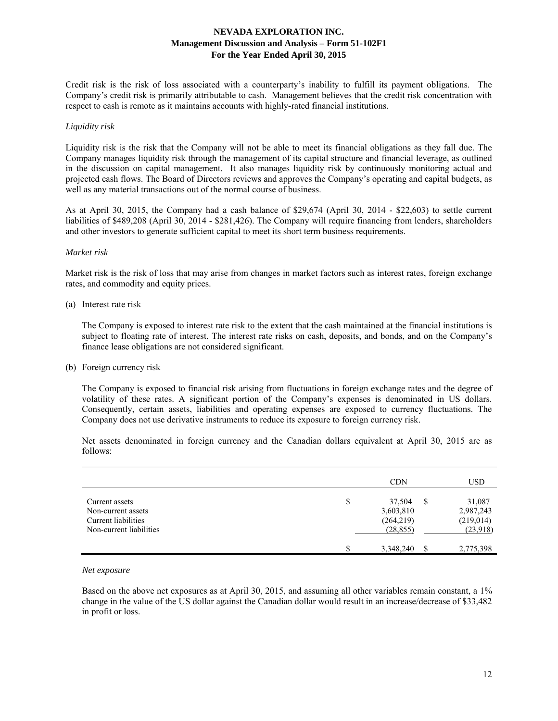Credit risk is the risk of loss associated with a counterparty's inability to fulfill its payment obligations. The Company's credit risk is primarily attributable to cash. Management believes that the credit risk concentration with respect to cash is remote as it maintains accounts with highly-rated financial institutions.

#### *Liquidity risk*

Liquidity risk is the risk that the Company will not be able to meet its financial obligations as they fall due. The Company manages liquidity risk through the management of its capital structure and financial leverage, as outlined in the discussion on capital management. It also manages liquidity risk by continuously monitoring actual and projected cash flows. The Board of Directors reviews and approves the Company's operating and capital budgets, as well as any material transactions out of the normal course of business.

As at April 30, 2015, the Company had a cash balance of \$29,674 (April 30, 2014 - \$22,603) to settle current liabilities of \$489,208 (April 30, 2014 - \$281,426). The Company will require financing from lenders, shareholders and other investors to generate sufficient capital to meet its short term business requirements.

#### *Market risk*

Market risk is the risk of loss that may arise from changes in market factors such as interest rates, foreign exchange rates, and commodity and equity prices.

(a) Interest rate risk

 The Company is exposed to interest rate risk to the extent that the cash maintained at the financial institutions is subject to floating rate of interest. The interest rate risks on cash, deposits, and bonds, and on the Company's finance lease obligations are not considered significant.

(b) Foreign currency risk

 The Company is exposed to financial risk arising from fluctuations in foreign exchange rates and the degree of volatility of these rates. A significant portion of the Company's expenses is denominated in US dollars. Consequently, certain assets, liabilities and operating expenses are exposed to currency fluctuations. The Company does not use derivative instruments to reduce its exposure to foreign currency risk.

 Net assets denominated in foreign currency and the Canadian dollars equivalent at April 30, 2015 are as follows:

|                                                                                        |    | <b>CDN</b>                                     |   | USD                                           |
|----------------------------------------------------------------------------------------|----|------------------------------------------------|---|-----------------------------------------------|
| Current assets<br>Non-current assets<br>Current liabilities<br>Non-current liabilities | \$ | 37,504<br>3,603,810<br>(264, 219)<br>(28, 855) | S | 31,087<br>2,987,243<br>(219, 014)<br>(23,918) |
|                                                                                        | S  | 3,348,240                                      |   | 2,775,398                                     |

#### *Net exposure*

 Based on the above net exposures as at April 30, 2015, and assuming all other variables remain constant, a 1% change in the value of the US dollar against the Canadian dollar would result in an increase/decrease of \$33,482 in profit or loss.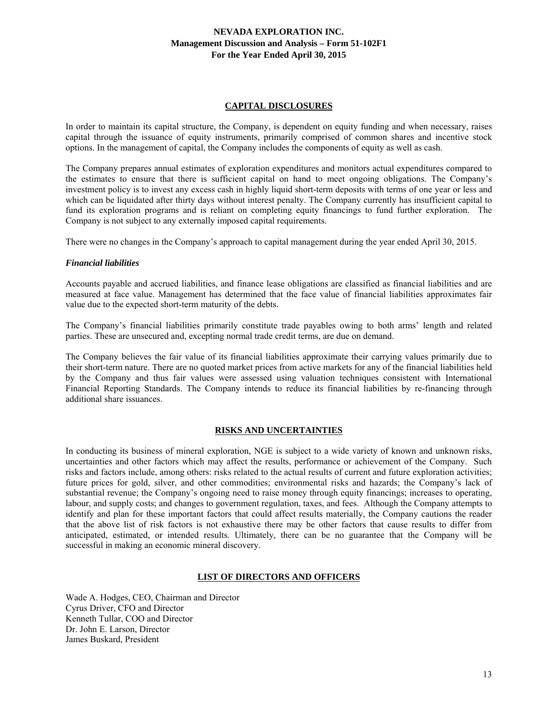# **CAPITAL DISCLOSURES**

In order to maintain its capital structure, the Company, is dependent on equity funding and when necessary, raises capital through the issuance of equity instruments, primarily comprised of common shares and incentive stock options. In the management of capital, the Company includes the components of equity as well as cash.

The Company prepares annual estimates of exploration expenditures and monitors actual expenditures compared to the estimates to ensure that there is sufficient capital on hand to meet ongoing obligations. The Company's investment policy is to invest any excess cash in highly liquid short-term deposits with terms of one year or less and which can be liquidated after thirty days without interest penalty. The Company currently has insufficient capital to fund its exploration programs and is reliant on completing equity financings to fund further exploration. The Company is not subject to any externally imposed capital requirements.

There were no changes in the Company's approach to capital management during the year ended April 30, 2015.

# *Financial liabilities*

Accounts payable and accrued liabilities, and finance lease obligations are classified as financial liabilities and are measured at face value. Management has determined that the face value of financial liabilities approximates fair value due to the expected short-term maturity of the debts.

The Company's financial liabilities primarily constitute trade payables owing to both arms' length and related parties. These are unsecured and, excepting normal trade credit terms, are due on demand.

The Company believes the fair value of its financial liabilities approximate their carrying values primarily due to their short-term nature. There are no quoted market prices from active markets for any of the financial liabilities held by the Company and thus fair values were assessed using valuation techniques consistent with International Financial Reporting Standards. The Company intends to reduce its financial liabilities by re-financing through additional share issuances.

# **RISKS AND UNCERTAINTIES**

In conducting its business of mineral exploration, NGE is subject to a wide variety of known and unknown risks, uncertainties and other factors which may affect the results, performance or achievement of the Company. Such risks and factors include, among others: risks related to the actual results of current and future exploration activities; future prices for gold, silver, and other commodities; environmental risks and hazards; the Company's lack of substantial revenue; the Company's ongoing need to raise money through equity financings; increases to operating, labour, and supply costs; and changes to government regulation, taxes, and fees. Although the Company attempts to identify and plan for these important factors that could affect results materially, the Company cautions the reader that the above list of risk factors is not exhaustive there may be other factors that cause results to differ from anticipated, estimated, or intended results. Ultimately, there can be no guarantee that the Company will be successful in making an economic mineral discovery.

# **LIST OF DIRECTORS AND OFFICERS**

Wade A. Hodges, CEO, Chairman and Director Cyrus Driver, CFO and Director Kenneth Tullar, COO and Director Dr. John E. Larson, Director James Buskard, President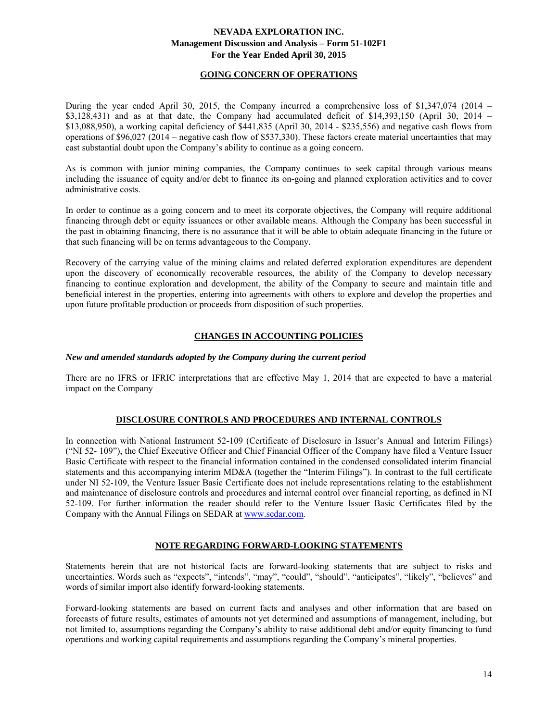# **GOING CONCERN OF OPERATIONS**

During the year ended April 30, 2015, the Company incurred a comprehensive loss of \$1,347,074 (2014 – \$3,128,431) and as at that date, the Company had accumulated deficit of \$14,393,150 (April 30, 2014 – \$13,088,950), a working capital deficiency of \$441,835 (April 30, 2014 - \$235,556) and negative cash flows from operations of \$96,027 (2014 – negative cash flow of \$537,330). These factors create material uncertainties that may cast substantial doubt upon the Company's ability to continue as a going concern.

As is common with junior mining companies, the Company continues to seek capital through various means including the issuance of equity and/or debt to finance its on-going and planned exploration activities and to cover administrative costs.

In order to continue as a going concern and to meet its corporate objectives, the Company will require additional financing through debt or equity issuances or other available means. Although the Company has been successful in the past in obtaining financing, there is no assurance that it will be able to obtain adequate financing in the future or that such financing will be on terms advantageous to the Company.

Recovery of the carrying value of the mining claims and related deferred exploration expenditures are dependent upon the discovery of economically recoverable resources, the ability of the Company to develop necessary financing to continue exploration and development, the ability of the Company to secure and maintain title and beneficial interest in the properties, entering into agreements with others to explore and develop the properties and upon future profitable production or proceeds from disposition of such properties.

# **CHANGES IN ACCOUNTING POLICIES**

#### *New and amended standards adopted by the Company during the current period*

There are no IFRS or IFRIC interpretations that are effective May 1, 2014 that are expected to have a material impact on the Company

# **DISCLOSURE CONTROLS AND PROCEDURES AND INTERNAL CONTROLS**

In connection with National Instrument 52-109 (Certificate of Disclosure in Issuer's Annual and Interim Filings) ("NI 52- 109"), the Chief Executive Officer and Chief Financial Officer of the Company have filed a Venture Issuer Basic Certificate with respect to the financial information contained in the condensed consolidated interim financial statements and this accompanying interim MD&A (together the "Interim Filings"). In contrast to the full certificate under NI 52-109, the Venture Issuer Basic Certificate does not include representations relating to the establishment and maintenance of disclosure controls and procedures and internal control over financial reporting, as defined in NI 52-109. For further information the reader should refer to the Venture Issuer Basic Certificates filed by the Company with the Annual Filings on SEDAR at www.sedar.com.

# **NOTE REGARDING FORWARD-LOOKING STATEMENTS**

Statements herein that are not historical facts are forward-looking statements that are subject to risks and uncertainties. Words such as "expects", "intends", "may", "could", "should", "anticipates", "likely", "believes" and words of similar import also identify forward-looking statements.

Forward-looking statements are based on current facts and analyses and other information that are based on forecasts of future results, estimates of amounts not yet determined and assumptions of management, including, but not limited to, assumptions regarding the Company's ability to raise additional debt and/or equity financing to fund operations and working capital requirements and assumptions regarding the Company's mineral properties.